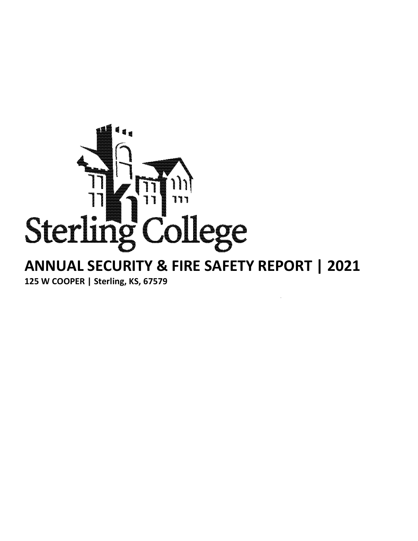

# **ANNUAL SECURITY & FIRE SAFETY REPORT | 2021 125 W COOPER | Sterling, KS, 67579**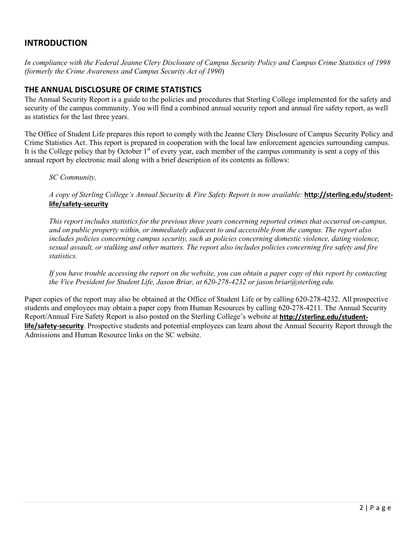### **INTRODUCTION**

*In compliance with the Federal Jeanne Clery Disclosure of Campus Security Policy and Campus Crime Statistics of 1998 (formerly the Crime Awareness and Campus Security Act of 1990*)

#### **THE ANNUAL DISCLOSURE OF CRIME STATISTICS**

The Annual Security Report is a guide to the policies and procedures that Sterling College implemented for the safety and security of the campus community. You will find a combined annual security report and annual fire safety report, as well as statistics for the last three years.

The Office of Student Life prepares this report to comply with the Jeanne Clery Disclosure of Campus Security Policy and Crime Statistics Act. This report is prepared in cooperation with the local law enforcement agencies surrounding campus. It is the College policy that by October  $1<sup>st</sup>$  of every year, each member of the campus community is sent a copy of this annual report by electronic mail along with a brief description of its contents as follows:

*SC Community,*

*A copy of Sterling College's Annual Security & Fire Safety Report is now available:* **[http://sterling.edu/student](http://sterling.edu/student-life/safety)[life/safety-](http://sterling.edu/student-life/safety)security**

*This report includes statistics for the previous three years concerning reported crimes that occurred on-campus, and on public property within, or immediately adjacent to and accessible from the campus. The report also includes policies concerning campus security, such as policies concerning domestic violence, dating violence, sexual assault, or stalking and other matters. The report also includes policies concerning fire safety and fire statistics.*

*If you have trouble accessing the report on the website, you can obtain a paper copy of this report by contacting the Vice President for Student Life, Jason Briar, at 620-278-4232 or jason.briar@sterling.edu.*

Paper copies of the report may also be obtained at the Office of Student Life or by calling 620-278-4232. All prospective students and employees may obtain a paper copy from Human Resources by calling 620-278-4211. The Annual Security Report/Annual Fire Safety Report is also posted on the Sterling College's website at **[http://sterling.edu/student](http://sterling.edu/student-life/safety)[life/safety-](http://sterling.edu/student-life/safety)security**. Prospective students and potential employees can learn about the Annual Security Report through the Admissions and Human Resource links on the SC website.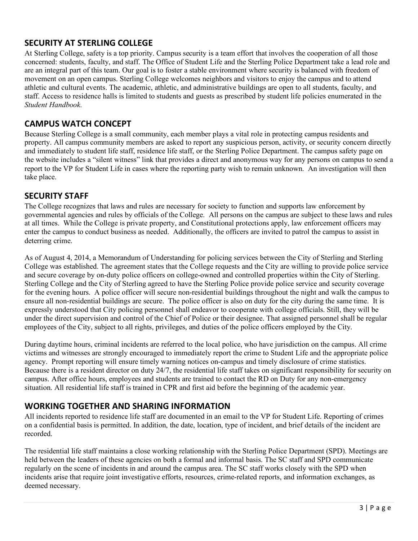### **SECURITY AT STERLING COLLEGE**

At Sterling College, safety is a top priority. Campus security is a team effort that involves the cooperation of all those concerned: students, faculty, and staff. The Office of Student Life and the Sterling Police Department take a lead role and are an integral part of this team. Our goal is to foster a stable environment where security is balanced with freedom of movement on an open campus. Sterling College welcomes neighbors and visitors to enjoy the campus and to attend athletic and cultural events. The academic, athletic, and administrative buildings are open to all students, faculty, and staff. Access to residence halls is limited to students and guests as prescribed by student life policies enumerated in the *Student Handbook*.

### **CAMPUS WATCH CONCEPT**

Because Sterling College is a small community, each member plays a vital role in protecting campus residents and property. All campus community members are asked to report any suspicious person, activity, or security concern directly and immediately to student life staff, residence life staff, or the Sterling Police Department. The campus safety page on the website includes a "silent witness" link that provides a direct and anonymous way for any persons on campus to send a report to the VP for Student Life in cases where the reporting party wish to remain unknown. An investigation will then take place.

### **SECURITY STAFF**

The College recognizes that laws and rules are necessary for society to function and supports law enforcement by governmental agencies and rules by officials of the College. All persons on the campus are subject to these laws and rules at all times. While the College is private property, and Constitutional protections apply, law enforcement officers may enter the campus to conduct business as needed. Additionally, the officers are invited to patrol the campus to assist in deterring crime.

As of August 4, 2014, a Memorandum of Understanding for policing services between the City of Sterling and Sterling College was established. The agreement states that the College requests and the City are willing to provide police service and secure coverage by on-duty police officers on college-owned and controlled properties within the City of Sterling. Sterling College and the City of Sterling agreed to have the Sterling Police provide police service and security coverage for the evening hours. A police officer will secure non-residential buildings throughout the night and walk the campus to ensure all non-residential buildings are secure. The police officer is also on duty for the city during the same time. It is expressly understood that City policing personnel shall endeavor to cooperate with college officials. Still, they will be under the direct supervision and control of the Chief of Police or their designee. That assigned personnel shall be regular employees of the City, subject to all rights, privileges, and duties of the police officers employed by the City.

During daytime hours, criminal incidents are referred to the local police, who have jurisdiction on the campus. All crime victims and witnesses are strongly encouraged to immediately report the crime to Student Life and the appropriate police agency. Prompt reporting will ensure timely warning notices on-campus and timely disclosure of crime statistics. Because there is a resident director on duty 24/7, the residential life staff takes on significant responsibility for security on campus. After office hours, employees and students are trained to contact the RD on Duty for any non-emergency situation. All residential life staff is trained in CPR and first aid before the beginning of the academic year.

### **WORKING TOGETHER AND SHARING INFORMATION**

All incidents reported to residence life staff are documented in an email to the VP for Student Life. Reporting of crimes on a confidential basis is permitted. In addition, the date, location, type of incident, and brief details of the incident are recorded.

The residential life staff maintains a close working relationship with the Sterling Police Department (SPD). Meetings are held between the leaders of these agencies on both a formal and informal basis. The SC staff and SPD communicate regularly on the scene of incidents in and around the campus area. The SC staff works closely with the SPD when incidents arise that require joint investigative efforts, resources, crime-related reports, and information exchanges, as deemed necessary.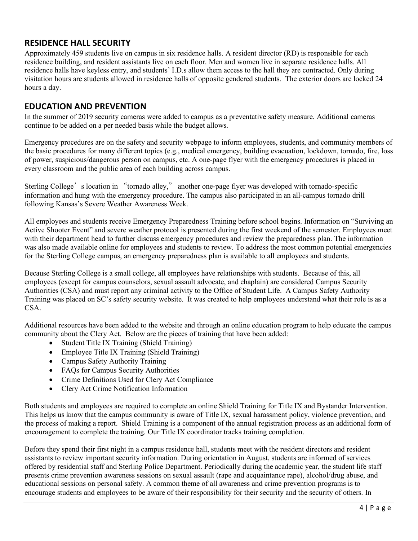### **RESIDENCE HALL SECURITY**

Approximately 459 students live on campus in six residence halls. A resident director (RD) is responsible for each residence building, and resident assistants live on each floor. Men and women live in separate residence halls. All residence halls have keyless entry, and students' I.D.s allow them access to the hall they are contracted. Only during visitation hours are students allowed in residence halls of opposite gendered students. The exterior doors are locked 24 hours a day.

### **EDUCATION AND PREVENTION**

In the summer of 2019 security cameras were added to campus as a preventative safety measure. Additional cameras continue to be added on a per needed basis while the budget allows.

Emergency procedures are on the safety and security webpage to inform employees, students, and community members of the basic procedures for many different topics (e.g., medical emergency, building evacuation, lockdown, tornado, fire, loss of power, suspicious/dangerous person on campus, etc. A one-page flyer with the emergency procedures is placed in every classroom and the public area of each building across campus.

Sterling College's location in "tornado alley," another one-page flyer was developed with tornado-specific information and hung with the emergency procedure. The campus also participated in an all-campus tornado drill following Kansas's Severe Weather Awareness Week.

All employees and students receive Emergency Preparedness Training before school begins. Information on "Surviving an Active Shooter Event" and severe weather protocol is presented during the first weekend of the semester. Employees meet with their department head to further discuss emergency procedures and review the preparedness plan. The information was also made available online for employees and students to review. To address the most common potential emergencies for the Sterling College campus, an emergency preparedness plan is available to all employees and students.

Because Sterling College is a small college, all employees have relationships with students. Because of this, all employees (except for campus counselors, sexual assault advocate, and chaplain) are considered Campus Security Authorities (CSA) and must report any criminal activity to the Office of Student Life. A Campus Safety Authority Training was placed on SC's safety security website. It was created to help employees understand what their role is as a CSA.

Additional resources have been added to the website and through an online education program to help educate the campus community about the Clery Act. Below are the pieces of training that have been added:

- Student Title IX Training (Shield Training)
- Employee Title IX Training (Shield Training)
- Campus Safety Authority Training
- FAQs for Campus Security Authorities
- Crime Definitions Used for Clery Act Compliance
- Clery Act Crime Notification Information

Both students and employees are required to complete an online Shield Training for Title IX and Bystander Intervention. This helps us know that the campus community is aware of Title IX, sexual harassment policy, violence prevention, and the process of making a report. Shield Training is a component of the annual registration process as an additional form of encouragement to complete the training. Our Title IX coordinator tracks training completion.

Before they spend their first night in a campus residence hall, students meet with the resident directors and resident assistants to review important security information. During orientation in August, students are informed of services offered by residential staff and Sterling Police Department. Periodically during the academic year, the student life staff presents crime prevention awareness sessions on sexual assault (rape and acquaintance rape), alcohol/drug abuse, and educational sessions on personal safety. A common theme of all awareness and crime prevention programs is to encourage students and employees to be aware of their responsibility for their security and the security of others. In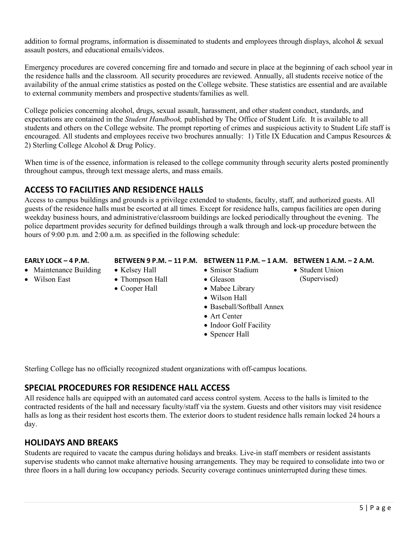addition to formal programs, information is disseminated to students and employees through displays, alcohol & sexual assault posters, and educational emails/videos.

Emergency procedures are covered concerning fire and tornado and secure in place at the beginning of each school year in the residence halls and the classroom. All security procedures are reviewed. Annually, all students receive notice of the availability of the annual crime statistics as posted on the College website. These statistics are essential and are available to external community members and prospective students/families as well.

College policies concerning alcohol, drugs, sexual assault, harassment, and other student conduct, standards, and expectations are contained in the *Student Handbook,* published by The Office of Student Life. It is available to all students and others on the College website. The prompt reporting of crimes and suspicious activity to Student Life staff is encouraged. All students and employees receive two brochures annually: 1) Title IX Education and Campus Resources & 2) Sterling College Alcohol & Drug Policy.

When time is of the essence, information is released to the college community through security alerts posted prominently throughout campus, through text message alerts, and mass emails.

### **ACCESS TO FACILITIES AND RESIDENCE HALLS**

Access to campus buildings and grounds is a privilege extended to students, faculty, staff, and authorized guests. All guests of the residence halls must be escorted at all times. Except for residence halls, campus facilities are open during weekday business hours, and administrative/classroom buildings are locked periodically throughout the evening. The police department provides security for defined buildings through a walk through and lock-up procedure between the hours of 9:00 p.m. and 2:00 a.m. as specified in the following schedule:

#### **EARLY LOCK – 4 P.M.**

- Maintenance Building
- Wilson East
- Kelsey Hall • Thompson Hall
- Cooper Hall

## **BETWEEN 9 P.M. – 11 P.M. BETWEEN 11 P.M. – 1 A.M. BETWEEN 1 A.M. – 2 A.M.**

- Smisor Stadium
- Student Union (Supervised)
- Gleason • Mabee Library
	- Wilson Hall
	- Baseball/Softball Annex
	- Art Center
	- Indoor Golf Facility
	- Spencer Hall

Sterling College has no officially recognized student organizations with off-campus locations.

# **SPECIAL PROCEDURES FOR RESIDENCE HALL ACCESS**

All residence halls are equipped with an automated card access control system. Access to the halls is limited to the contracted residents of the hall and necessary faculty/staff via the system. Guests and other visitors may visit residence halls as long as their resident host escorts them. The exterior doors to student residence halls remain locked 24 hours a day.

# **HOLIDAYS AND BREAKS**

Students are required to vacate the campus during holidays and breaks. Live-in staff members or resident assistants supervise students who cannot make alternative housing arrangements. They may be required to consolidate into two or three floors in a hall during low occupancy periods. Security coverage continues uninterrupted during these times.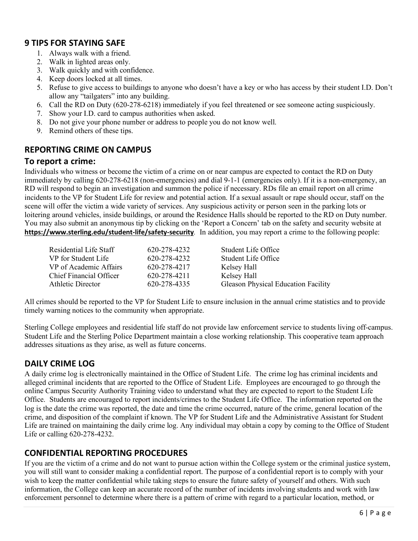### **9 TIPS FOR STAYING SAFE**

- 1. Always walk with a friend.
- 2. Walk in lighted areas only.
- 3. Walk quickly and with confidence.
- 4. Keep doors locked at all times.
- 5. Refuse to give access to buildings to anyone who doesn't have a key or who has access by their student I.D. Don't allow any "tailgaters" into any building.
- 6. Call the RD on Duty (620-278-6218) immediately if you feel threatened or see someone acting suspiciously.
- 7. Show your I.D. card to campus authorities when asked.
- 8. Do not give your phone number or address to people you do not know well.
- 9. Remind others of these tips.

### **REPORTING CRIME ON CAMPUS**

#### **To report a crime:**

Individuals who witness or become the victim of a crime on or near campus are expected to contact the RD on Duty immediately by calling 620-278-6218 (non-emergencies) and dial 9-1-1 (emergencies only). If it is a non-emergency, an RD will respond to begin an investigation and summon the police if necessary. RDs file an email report on all crime incidents to the VP for Student Life for review and potential action. If a sexual assault or rape should occur, staff on the scene will offer the victim a wide variety of services. Any suspicious activity or person seen in the parking lots or loitering around vehicles, inside buildings, or around the Residence Halls should be reported to the RD on Duty number. You may also submit an anonymous tip by clicking on the 'Report a Concern' tab on the safety and security website at **https://www.sterling.edu/student-life/safety-security***.* In addition, you may report a crime to the following people:

| Residential Life Staff  | 620-278-4232 | Student Life Office                 |
|-------------------------|--------------|-------------------------------------|
| VP for Student Life     | 620-278-4232 | Student Life Office                 |
| VP of Academic Affairs  | 620-278-4217 | Kelsey Hall                         |
| Chief Financial Officer | 620-278-4211 | Kelsey Hall                         |
| Athletic Director       | 620-278-4335 | Gleason Physical Education Facility |

All crimes should be reported to the VP for Student Life to ensure inclusion in the annual crime statistics and to provide timely warning notices to the community when appropriate.

Sterling College employees and residential life staff do not provide law enforcement service to students living off-campus. Student Life and the Sterling Police Department maintain a close working relationship. This cooperative team approach addresses situations as they arise, as well as future concerns.

### **DAILY CRIME LOG**

A daily crime log is electronically maintained in the Office of Student Life. The crime log has criminal incidents and alleged criminal incidents that are reported to the Office of Student Life. Employees are encouraged to go through the online Campus Security Authority Training video to understand what they are expected to report to the Student Life Office. Students are encouraged to report incidents/crimes to the Student Life Office. The information reported on the log is the date the crime was reported, the date and time the crime occurred, nature of the crime, general location of the crime, and disposition of the complaint if known. The VP for Student Life and the Administrative Assistant for Student Life are trained on maintaining the daily crime log. Any individual may obtain a copy by coming to the Office of Student Life or calling 620-278-4232.

### **CONFIDENTIAL REPORTING PROCEDURES**

If you are the victim of a crime and do not want to pursue action within the College system or the criminal justice system, you will still want to consider making a confidential report. The purpose of a confidential report is to comply with your wish to keep the matter confidential while taking steps to ensure the future safety of yourself and others. With such information, the College can keep an accurate record of the number of incidents involving students and work with law enforcement personnel to determine where there is a pattern of crime with regard to a particular location, method, or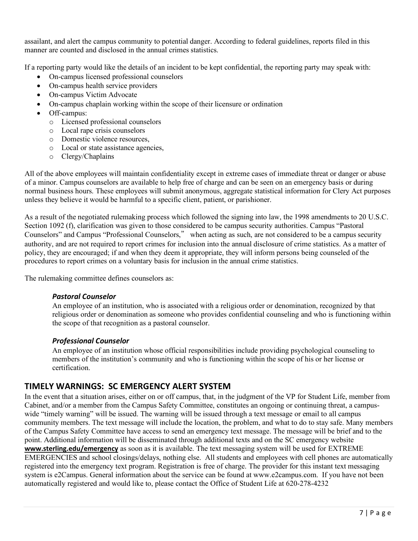assailant, and alert the campus community to potential danger. According to federal guidelines, reports filed in this manner are counted and disclosed in the annual crimes statistics.

If a reporting party would like the details of an incident to be kept confidential, the reporting party may speak with:

- On-campus licensed professional counselors
- On-campus health service providers
- On-campus Victim Advocate
- On-campus chaplain working within the scope of their licensure or ordination
- Off-campus:
	- o Licensed professional counselors
	- o Local rape crisis counselors
	- o Domestic violence resources,
	- o Local or state assistance agencies,
	- o Clergy/Chaplains

All of the above employees will maintain confidentiality except in extreme cases of immediate threat or danger or abuse of a minor. Campus counselors are available to help free of charge and can be seen on an emergency basis or during normal business hours. These employees will submit anonymous, aggregate statistical information for Clery Act purposes unless they believe it would be harmful to a specific client, patient, or parishioner.

As a result of the negotiated rulemaking process which followed the signing into law, the 1998 amendments to 20 U.S.C. Section 1092 (f), clarification was given to those considered to be campus security authorities. Campus "Pastoral Counselors" and Campus "Professional Counselors," when acting as such, are not considered to be a campus security authority, and are not required to report crimes for inclusion into the annual disclosure of crime statistics. As a matter of policy, they are encouraged; if and when they deem it appropriate, they will inform persons being counseled of the procedures to report crimes on a voluntary basis for inclusion in the annual crime statistics.

The rulemaking committee defines counselors as:

#### *Pastoral Counselor*

An employee of an institution, who is associated with a religious order or denomination, recognized by that religious order or denomination as someone who provides confidential counseling and who is functioning within the scope of that recognition as a pastoral counselor.

#### *Professional Counselor*

An employee of an institution whose official responsibilities include providing psychological counseling to members of the institution's community and who is functioning within the scope of his or her license or certification.

### **TIMELY WARNINGS: SC EMERGENCY ALERT SYSTEM**

In the event that a situation arises, either on or off campus, that, in the judgment of the VP for Student Life, member from Cabinet, and/or a member from the Campus Safety Committee, constitutes an ongoing or continuing threat, a campuswide "timely warning" will be issued. The warning will be issued through a text message or email to all campus community members. The text message will include the location, the problem, and what to do to stay safe. Many members of the Campus Safety Committee have access to send an emergency text message. The message will be brief and to the point. Additional information will be disseminated through additional texts and on the SC emergency website **[www.sterling.edu/emergency](http://www.sterling.edu/emergency)** as soon as it is available. The text messaging system will be used for EXTREME EMERGENCIES and school closings/delays, nothing else. All students and employees with cell phones are automatically registered into the emergency text program. Registration is free of charge. The provider for this instant text messaging system is e2Campus. General information about the service can be found at www.e2campus.com. If you have not been automatically registered and would like to, please contact the Office of Student Life at 620-278-4232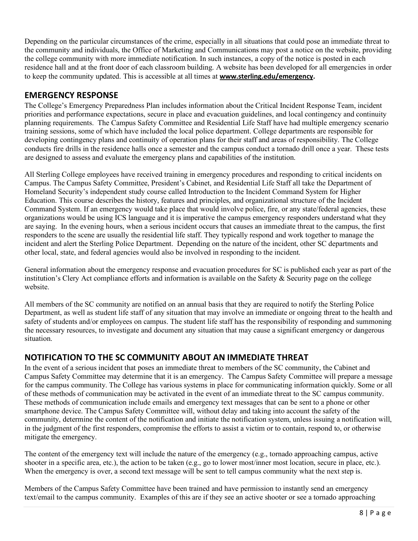Depending on the particular circumstances of the crime, especially in all situations that could pose an immediate threat to the community and individuals, the Office of Marketing and Communications may post a notice on the website, providing the college community with more immediate notification. In such instances, a copy of the notice is posted in each residence hall and at the front door of each classroom building. A website has been developed for all emergencies in order to keep the community updated. This is accessible at all times at **[www.sterling.edu/emergency.](http://www.sterling.edu/emergency)**

### **EMERGENCY RESPONSE**

The College's Emergency Preparedness Plan includes information about the Critical Incident Response Team, incident priorities and performance expectations, secure in place and evacuation guidelines, and local contingency and continuity planning requirements. The Campus Safety Committee and Residential Life Staff have had multiple emergency scenario training sessions, some of which have included the local police department. College departments are responsible for developing contingency plans and continuity of operation plans for their staff and areas of responsibility. The College conducts fire drills in the residence halls once a semester and the campus conduct a tornado drill once a year. These tests are designed to assess and evaluate the emergency plans and capabilities of the institution.

All Sterling College employees have received training in emergency procedures and responding to critical incidents on Campus. The Campus Safety Committee, President's Cabinet, and Residential Life Staff all take the Department of Homeland Security's independent study course called Introduction to the Incident Command System for Higher Education. This course describes the history, features and principles, and organizational structure of the Incident Command System. If an emergency would take place that would involve police, fire, or any state/federal agencies, these organizations would be using ICS language and it is imperative the campus emergency responders understand what they are saying. In the evening hours, when a serious incident occurs that causes an immediate threat to the campus, the first responders to the scene are usually the residential life staff. They typically respond and work together to manage the incident and alert the Sterling Police Department. Depending on the nature of the incident, other SC departments and other local, state, and federal agencies would also be involved in responding to the incident.

General information about the emergency response and evacuation procedures for SC is published each year as part of the institution's Clery Act compliance efforts and information is available on the Safety & Security page on the college website.

All members of the SC community are notified on an annual basis that they are required to notify the Sterling Police Department, as well as student life staff of any situation that may involve an immediate or ongoing threat to the health and safety of students and/or employees on campus. The student life staff has the responsibility of responding and summoning the necessary resources, to investigate and document any situation that may cause a significant emergency or dangerous situation.

## **NOTIFICATION TO THE SC COMMUNITY ABOUT AN IMMEDIATE THREAT**

In the event of a serious incident that poses an immediate threat to members of the SC community, the Cabinet and Campus Safety Committee may determine that it is an emergency. The Campus Safety Committee will prepare a message for the campus community. The College has various systems in place for communicating information quickly. Some or all of these methods of communication may be activated in the event of an immediate threat to the SC campus community. These methods of communication include emails and emergency text messages that can be sent to a phone or other smartphone device. The Campus Safety Committee will, without delay and taking into account the safety of the community, determine the content of the notification and initiate the notification system, unless issuing a notification will, in the judgment of the first responders, compromise the efforts to assist a victim or to contain, respond to, or otherwise mitigate the emergency.

The content of the emergency text will include the nature of the emergency (e.g., tornado approaching campus, active shooter in a specific area, etc.), the action to be taken (e.g., go to lower most/inner most location, secure in place, etc.). When the emergency is over, a second text message will be sent to tell campus community what the next step is.

Members of the Campus Safety Committee have been trained and have permission to instantly send an emergency text/email to the campus community. Examples of this are if they see an active shooter or see a tornado approaching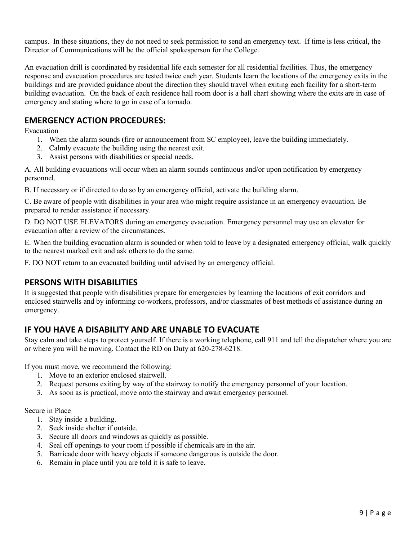campus. In these situations, they do not need to seek permission to send an emergency text. If time is less critical, the Director of Communications will be the official spokesperson for the College.

An evacuation drill is coordinated by residential life each semester for all residential facilities. Thus, the emergency response and evacuation procedures are tested twice each year. Students learn the locations of the emergency exits in the buildings and are provided guidance about the direction they should travel when exiting each facility for a short-term building evacuation. On the back of each residence hall room door is a hall chart showing where the exits are in case of emergency and stating where to go in case of a tornado.

### **EMERGENCY ACTION PROCEDURES:**

Evacuation

- 1. When the alarm sounds (fire or announcement from SC employee), leave the building immediately.
- 2. Calmly evacuate the building using the nearest exit.
- 3. Assist persons with disabilities or special needs.

A. All building evacuations will occur when an alarm sounds continuous and/or upon notification by emergency personnel.

B. If necessary or if directed to do so by an emergency official, activate the building alarm.

C. Be aware of people with disabilities in your area who might require assistance in an emergency evacuation. Be prepared to render assistance if necessary.

D. DO NOT USE ELEVATORS during an emergency evacuation. Emergency personnel may use an elevator for evacuation after a review of the circumstances.

E. When the building evacuation alarm is sounded or when told to leave by a designated emergency official, walk quickly to the nearest marked exit and ask others to do the same.

F. DO NOT return to an evacuated building until advised by an emergency official.

### **PERSONS WITH DISABILITIES**

It is suggested that people with disabilities prepare for emergencies by learning the locations of exit corridors and enclosed stairwells and by informing co-workers, professors, and/or classmates of best methods of assistance during an emergency.

### **IF YOU HAVE A DISABILITY AND ARE UNABLE TO EVACUATE**

Stay calm and take steps to protect yourself. If there is a working telephone, call 911 and tell the dispatcher where you are or where you will be moving. Contact the RD on Duty at 620-278-6218.

If you must move, we recommend the following:

- 1. Move to an exterior enclosed stairwell.
- 2. Request persons exiting by way of the stairway to notify the emergency personnel of your location.
- 3. As soon as is practical, move onto the stairway and await emergency personnel.

Secure in Place

- 1. Stay inside a building.
- 2. Seek inside shelter if outside.
- 3. Secure all doors and windows as quickly as possible.
- 4. Seal off openings to your room if possible if chemicals are in the air.
- 5. Barricade door with heavy objects if someone dangerous is outside the door.
- 6. Remain in place until you are told it is safe to leave.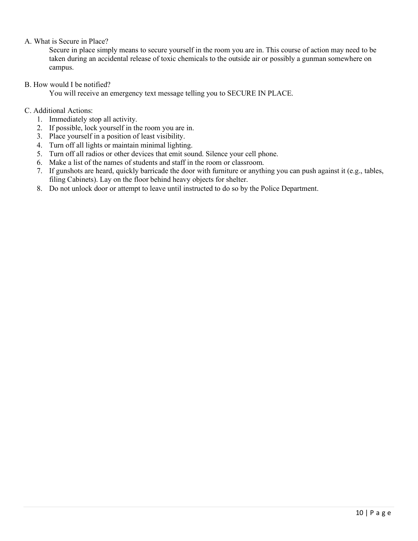#### A. What is Secure in Place?

Secure in place simply means to secure yourself in the room you are in. This course of action may need to be taken during an accidental release of toxic chemicals to the outside air or possibly a gunman somewhere on campus.

#### B. How would I be notified?

You will receive an emergency text message telling you to SECURE IN PLACE.

#### C. Additional Actions:

- 1. Immediately stop all activity.
- 2. If possible, lock yourself in the room you are in.
- 3. Place yourself in a position of least visibility.
- 4. Turn off all lights or maintain minimal lighting.
- 5. Turn off all radios or other devices that emit sound. Silence your cell phone.
- 6. Make a list of the names of students and staff in the room or classroom.
- 7. If gunshots are heard, quickly barricade the door with furniture or anything you can push against it (e.g., tables, filing Cabinets). Lay on the floor behind heavy objects for shelter.
- 8. Do not unlock door or attempt to leave until instructed to do so by the Police Department.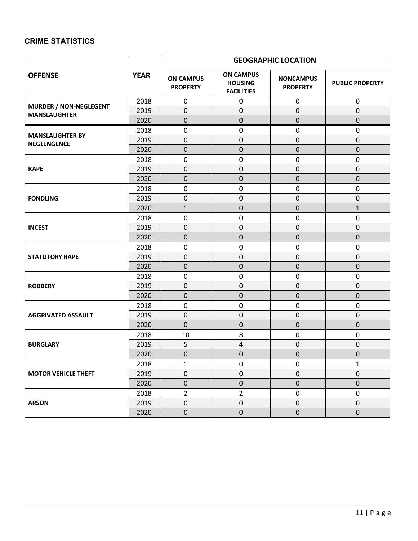### **CRIME STATISTICS**

|                                              |             | <b>GEOGRAPHIC LOCATION</b>          |                                                         |                                     |                        |  |
|----------------------------------------------|-------------|-------------------------------------|---------------------------------------------------------|-------------------------------------|------------------------|--|
| <b>OFFENSE</b>                               | <b>YEAR</b> | <b>ON CAMPUS</b><br><b>PROPERTY</b> | <b>ON CAMPUS</b><br><b>HOUSING</b><br><b>FACILITIES</b> | <b>NONCAMPUS</b><br><b>PROPERTY</b> | <b>PUBLIC PROPERTY</b> |  |
| <b>MURDER / NON-NEGLEGENT</b>                | 2018        | $\pmb{0}$                           | $\pmb{0}$                                               | 0                                   | $\mathbf 0$            |  |
| <b>MANSLAUGHTER</b>                          | 2019        | $\mathbf 0$                         | $\pmb{0}$                                               | $\pmb{0}$                           | 0                      |  |
|                                              | 2020        | $\pmb{0}$                           | $\pmb{0}$                                               | $\pmb{0}$                           | 0                      |  |
|                                              | 2018        | $\pmb{0}$                           | $\pmb{0}$                                               | $\pmb{0}$                           | 0                      |  |
| <b>MANSLAUGHTER BY</b><br><b>NEGLENGENCE</b> | 2019        | $\mathbf 0$                         | $\boldsymbol{0}$                                        | $\mathbf 0$                         | 0                      |  |
|                                              | 2020        | $\mathbf 0$                         | $\pmb{0}$                                               | $\pmb{0}$                           | 0                      |  |
|                                              | 2018        | $\pmb{0}$                           | $\mathbf 0$                                             | $\pmb{0}$                           | 0                      |  |
| <b>RAPE</b>                                  | 2019        | $\pmb{0}$                           | $\mathbf 0$                                             | $\pmb{0}$                           | $\mathsf{O}\xspace$    |  |
|                                              | 2020        | 0                                   | $\pmb{0}$                                               | $\pmb{0}$                           | $\mathsf 0$            |  |
|                                              | 2018        | $\pmb{0}$                           | $\pmb{0}$                                               | $\pmb{0}$                           | 0                      |  |
| <b>FONDLING</b>                              | 2019        | $\pmb{0}$                           | $\boldsymbol{0}$                                        | $\pmb{0}$                           | $\mathsf{O}\xspace$    |  |
|                                              | 2020        | $\mathbf{1}$                        | $\mathbf 0$                                             | $\pmb{0}$                           | $\mathbf{1}$           |  |
|                                              | 2018        | $\pmb{0}$                           | $\pmb{0}$                                               | $\pmb{0}$                           | 0                      |  |
| <b>INCEST</b>                                | 2019        | $\pmb{0}$                           | $\pmb{0}$                                               | $\pmb{0}$                           | $\pmb{0}$              |  |
|                                              | 2020        | $\mathbf 0$                         | $\pmb{0}$                                               | $\mathbf 0$                         | 0                      |  |
|                                              | 2018        | $\pmb{0}$                           | $\pmb{0}$                                               | $\pmb{0}$                           | 0                      |  |
| <b>STATUTORY RAPE</b>                        | 2019        | $\pmb{0}$                           | $\boldsymbol{0}$                                        | $\pmb{0}$                           | 0                      |  |
|                                              | 2020        | $\mathbf 0$                         | $\mathbf 0$                                             | $\pmb{0}$                           | 0                      |  |
|                                              | 2018        | $\pmb{0}$                           | $\pmb{0}$                                               | $\pmb{0}$                           | 0                      |  |
| <b>ROBBERY</b>                               | 2019        | $\pmb{0}$                           | $\boldsymbol{0}$                                        | $\pmb{0}$                           | 0                      |  |
|                                              | 2020        | $\mathbf 0$                         | $\mathbf 0$                                             | 0                                   | 0                      |  |
|                                              | 2018        | $\pmb{0}$                           | 0                                                       | $\pmb{0}$                           | $\pmb{0}$              |  |
| <b>AGGRIVATED ASSAULT</b>                    | 2019        | 0                                   | $\boldsymbol{0}$                                        | $\pmb{0}$                           | 0                      |  |
|                                              | 2020        | $\pmb{0}$                           | $\pmb{0}$                                               | $\pmb{0}$                           | $\mathsf{O}\xspace$    |  |
|                                              | 2018        | 10                                  | 8                                                       | $\pmb{0}$                           | 0                      |  |
| <b>BURGLARY</b>                              | 2019        | 5                                   | $\pmb{4}$                                               | $\pmb{0}$                           | 0                      |  |
|                                              | 2020        | $\mathbf 0$                         | $\mathbf 0$                                             | $\pmb{0}$                           | 0                      |  |
| <b>MOTOR VEHICLE THEFT</b>                   | 2018        | 1                                   | 0                                                       | 0                                   | $\mathbf{1}$           |  |
|                                              | 2019        | $\pmb{0}$                           | $\mathbf 0$                                             | $\pmb{0}$                           | 0                      |  |
|                                              | 2020        | $\pmb{0}$                           | $\pmb{0}$                                               | $\pmb{0}$                           | $\pmb{0}$              |  |
|                                              | 2018        | $\overline{2}$                      | $\overline{2}$                                          | $\pmb{0}$                           | 0                      |  |
| <b>ARSON</b>                                 | 2019        | $\pmb{0}$                           | $\pmb{0}$                                               | $\pmb{0}$                           | $\mathbf 0$            |  |
|                                              | 2020        | $\pmb{0}$                           | $\pmb{0}$                                               | $\pmb{0}$                           | $\pmb{0}$              |  |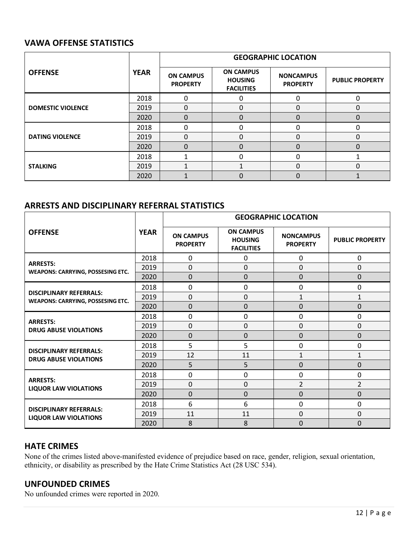### **VAWA OFFENSE STATISTICS**

|                          |             | <b>GEOGRAPHIC LOCATION</b>          |                                                         |                                     |                        |  |
|--------------------------|-------------|-------------------------------------|---------------------------------------------------------|-------------------------------------|------------------------|--|
| <b>OFFENSE</b>           | <b>YEAR</b> | <b>ON CAMPUS</b><br><b>PROPERTY</b> | <b>ON CAMPUS</b><br><b>HOUSING</b><br><b>FACILITIES</b> | <b>NONCAMPUS</b><br><b>PROPERTY</b> | <b>PUBLIC PROPERTY</b> |  |
|                          | 2018        | 0                                   | 0                                                       | 0                                   |                        |  |
| <b>DOMESTIC VIOLENCE</b> | 2019        | ი                                   | 0                                                       | 0                                   | 0                      |  |
|                          | 2020        | 0                                   | $\Omega$                                                | $\Omega$                            | 0                      |  |
|                          | 2018        | 0                                   | 0                                                       | 0                                   | 0                      |  |
| <b>DATING VIOLENCE</b>   | 2019        | 0                                   | 0                                                       | 0                                   | 0                      |  |
|                          | 2020        | O                                   | 0                                                       | 0                                   |                        |  |
| <b>STALKING</b>          | 2018        |                                     | $\Omega$                                                | $\Omega$                            |                        |  |
|                          | 2019        |                                     |                                                         | 0                                   | 0                      |  |
|                          | 2020        |                                     | $\Omega$                                                | $\Omega$                            |                        |  |

### **ARRESTS AND DISCIPLINARY REFERRAL STATISTICS**

|                                                                            | <b>GEOGRAPHIC LOCATION</b> |                                     |                                                         |                                     |                        |  |
|----------------------------------------------------------------------------|----------------------------|-------------------------------------|---------------------------------------------------------|-------------------------------------|------------------------|--|
| <b>OFFENSE</b>                                                             | <b>YEAR</b>                | <b>ON CAMPUS</b><br><b>PROPERTY</b> | <b>ON CAMPUS</b><br><b>HOUSING</b><br><b>FACILITIES</b> | <b>NONCAMPUS</b><br><b>PROPERTY</b> | <b>PUBLIC PROPERTY</b> |  |
|                                                                            | 2018                       | 0                                   | 0                                                       | 0                                   | $\mathbf 0$            |  |
| <b>ARRESTS:</b><br><b>WEAPONS: CARRYING, POSSESING ETC.</b>                | 2019                       | $\overline{0}$                      | 0                                                       | $\mathbf 0$                         | 0                      |  |
|                                                                            | 2020                       | $\overline{0}$                      | 0                                                       | $\Omega$                            | $\Omega$               |  |
|                                                                            | 2018                       | 0                                   | 0                                                       | $\mathbf 0$                         | 0                      |  |
| <b>DISCIPLINARY REFERRALS:</b><br><b>WEAPONS: CARRYING, POSSESING ETC.</b> | 2019                       | $\mathbf 0$                         | $\Omega$                                                | $\mathbf{1}$                        | $\mathbf{1}$           |  |
|                                                                            | 2020                       | $\Omega$                            | 0                                                       | $\mathbf 0$                         | $\mathbf 0$            |  |
|                                                                            | 2018                       | 0                                   | 0                                                       | $\mathbf 0$                         | 0                      |  |
| <b>ARRESTS:</b><br><b>DRUG ABUSE VIOLATIONS</b>                            | 2019                       | $\mathbf 0$                         | 0                                                       | $\mathbf 0$                         | $\mathbf 0$            |  |
|                                                                            | 2020                       | $\Omega$                            | 0                                                       | $\Omega$                            | 0                      |  |
|                                                                            | 2018                       | 5                                   | 5                                                       | $\mathbf 0$                         | 0                      |  |
| <b>DISCIPLINARY REFERRALS:</b><br><b>DRUG ABUSE VIOLATIONS</b>             | 2019                       | 12                                  | 11                                                      | $\mathbf{1}$                        | $\mathbf{1}$           |  |
|                                                                            | 2020                       | 5                                   | 5                                                       | $\mathbf 0$                         | 0                      |  |
|                                                                            | 2018                       | $\mathbf 0$                         | 0                                                       | $\mathbf 0$                         | $\mathbf 0$            |  |
| <b>ARRESTS:</b><br><b>LIQUOR LAW VIOLATIONS</b>                            | 2019                       | $\mathbf 0$                         | $\Omega$                                                | $\overline{2}$                      | $\overline{2}$         |  |
|                                                                            | 2020                       | $\Omega$                            | 0                                                       | $\mathbf 0$                         | $\mathbf 0$            |  |
|                                                                            | 2018                       | 6                                   | 6                                                       | $\mathbf 0$                         | $\mathbf 0$            |  |
| <b>DISCIPLINARY REFERRALS:</b><br><b>LIQUOR LAW VIOLATIONS</b>             | 2019                       | 11                                  | 11                                                      | $\mathbf 0$                         | 0                      |  |
|                                                                            | 2020                       | 8                                   | 8                                                       | $\Omega$                            | $\Omega$               |  |

#### **HATE CRIMES**

None of the crimes listed above-manifested evidence of prejudice based on race, gender, religion, sexual orientation, ethnicity, or disability as prescribed by the Hate Crime Statistics Act (28 USC 534).

#### **UNFOUNDED CRIMES**

No unfounded crimes were reported in 2020.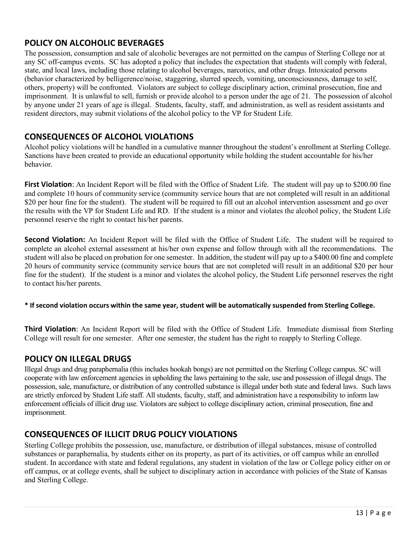### **POLICY ON ALCOHOLIC BEVERAGES**

The possession, consumption and sale of alcoholic beverages are not permitted on the campus of Sterling College nor at any SC off-campus events. SC has adopted a policy that includes the expectation that students will comply with federal, state, and local laws, including those relating to alcohol beverages, narcotics, and other drugs. Intoxicated persons (behavior characterized by belligerence/noise, staggering, slurred speech, vomiting, unconsciousness, damage to self, others, property) will be confronted. Violators are subject to college disciplinary action, criminal prosecution, fine and imprisonment. It is unlawful to sell, furnish or provide alcohol to a person under the age of 21. The possession of alcohol by anyone under 21 years of age is illegal. Students, faculty, staff, and administration, as well as resident assistants and resident directors, may submit violations of the alcohol policy to the VP for Student Life.

### **CONSEQUENCES OF ALCOHOL VIOLATIONS**

Alcohol policy violations will be handled in a cumulative manner throughout the student's enrollment at Sterling College. Sanctions have been created to provide an educational opportunity while holding the student accountable for his/her behavior.

**First Violation**: An Incident Report will be filed with the Office of Student Life. The student will pay up to \$200.00 fine and complete 10 hours of community service (community service hours that are not completed will result in an additional \$20 per hour fine for the student). The student will be required to fill out an alcohol intervention assessment and go over the results with the VP for Student Life and RD. If the student is a minor and violates the alcohol policy, the Student Life personnel reserve the right to contact his/her parents.

**Second Violation:** An Incident Report will be filed with the Office of Student Life. The student will be required to complete an alcohol external assessment at his/her own expense and follow through with all the recommendations. The student will also be placed on probation for one semester. In addition, the student will pay up to a \$400.00 fine and complete 20 hours of community service (community service hours that are not completed will result in an additional \$20 per hour fine for the student). If the student is a minor and violates the alcohol policy, the Student Life personnel reserves the right to contact his/her parents.

#### **\* If second violation occurs within the same year, student will be automatically suspended from Sterling College.**

**Third Violation**: An Incident Report will be filed with the Office of Student Life. Immediate dismissal from Sterling College will result for one semester. After one semester, the student has the right to reapply to Sterling College.

### **POLICY ON ILLEGAL DRUGS**

Illegal drugs and drug paraphernalia (this includes hookah bongs) are not permitted on the Sterling College campus. SC will cooperate with law enforcement agencies in upholding the laws pertaining to the sale, use and possession of illegal drugs. The possession, sale, manufacture, or distribution of any controlled substance is illegal under both state and federal laws. Such laws are strictly enforced by Student Life staff. All students, faculty, staff, and administration have a responsibility to inform law enforcement officials of illicit drug use. Violators are subject to college disciplinary action, criminal prosecution, fine and imprisonment.

### **CONSEQUENCES OF ILLICIT DRUG POLICY VIOLATIONS**

Sterling College prohibits the possession, use, manufacture, or distribution of illegal substances, misuse of controlled substances or paraphernalia, by students either on its property, as part of its activities, or off campus while an enrolled student. In accordance with state and federal regulations, any student in violation of the law or College policy either on or off campus, or at college events, shall be subject to disciplinary action in accordance with policies of the State of Kansas and Sterling College.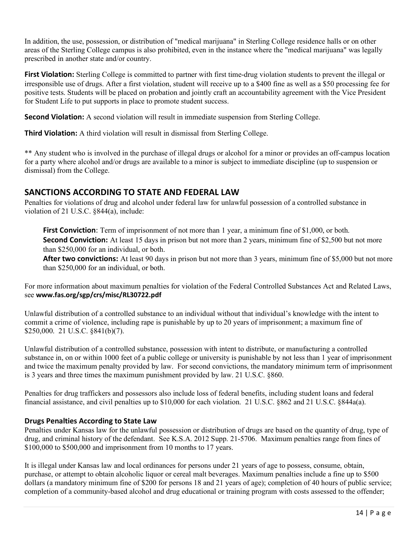In addition, the use, possession, or distribution of "medical marijuana" in Sterling College residence halls or on other areas of the Sterling College campus is also prohibited, even in the instance where the "medical marijuana" was legally prescribed in another state and/or country.

**First Violation:** Sterling College is committed to partner with first time-drug violation students to prevent the illegal or irresponsible use of drugs. After a first violation, student will receive up to a \$400 fine as well as a \$50 processing fee for positive tests. Students will be placed on probation and jointly craft an accountability agreement with the Vice President for Student Life to put supports in place to promote student success.

**Second Violation:** A second violation will result in immediate suspension from Sterling College.

**Third Violation:** A third violation will result in dismissal from Sterling College.

\*\* Any student who is involved in the purchase of illegal drugs or alcohol for a minor or provides an off-campus location for a party where alcohol and/or drugs are available to a minor is subject to immediate discipline (up to suspension or dismissal) from the College.

### **SANCTIONS ACCORDING TO STATE AND FEDERAL LAW**

Penalties for violations of drug and alcohol under federal law for unlawful possession of a controlled substance in violation of 21 U.S.C. §844(a), include:

**First Conviction**: Term of imprisonment of not more than 1 year, a minimum fine of \$1,000, or both. **Second Conviction:** At least 15 days in prison but not more than 2 years, minimum fine of \$2,500 but not more than \$250,000 for an individual, or both.

**After two convictions:** At least 90 days in prison but not more than 3 years, minimum fine of \$5,000 but not more than \$250,000 for an individual, or both.

For more information about maximum penalties for violation of the Federal Controlled Substances Act and Related Laws, see **[www.fas.org/sgp/crs/misc/RL30722.pdf](http://www.fas.org/sgp/crs/misc/RL30722.pdf)**

Unlawful distribution of a controlled substance to an individual without that individual's knowledge with the intent to commit a crime of violence, including rape is punishable by up to 20 years of imprisonment; a maximum fine of \$250,000. 21 U.S.C. §841(b)(7).

Unlawful distribution of a controlled substance, possession with intent to distribute, or manufacturing a controlled substance in, on or within 1000 feet of a public college or university is punishable by not less than 1 year of imprisonment and twice the maximum penalty provided by law. For second convictions, the mandatory minimum term of imprisonment is 3 years and three times the maximum punishment provided by law. 21 U.S.C. §860.

Penalties for drug traffickers and possessors also include loss of federal benefits, including student loans and federal financial assistance, and civil penalties up to \$10,000 for each violation. 21 U.S.C. §862 and 21 U.S.C. §844a(a).

#### **Drugs Penalties According to State Law**

Penalties under Kansas law for the unlawful possession or distribution of drugs are based on the quantity of drug, type of drug, and criminal history of the defendant. See K.S.A. 2012 Supp. 21-5706. Maximum penalties range from fines of \$100,000 to \$500,000 and imprisonment from 10 months to 17 years.

It is illegal under Kansas law and local ordinances for persons under 21 years of age to possess, consume, obtain, purchase, or attempt to obtain alcoholic liquor or cereal malt beverages. Maximum penalties include a fine up to \$500 dollars (a mandatory minimum fine of \$200 for persons 18 and 21 years of age); completion of 40 hours of public service; completion of a community-based alcohol and drug educational or training program with costs assessed to the offender;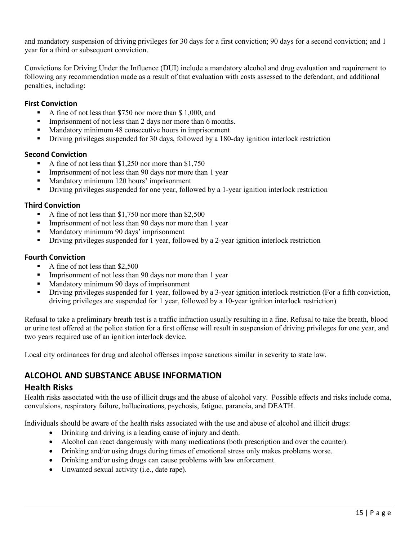and mandatory suspension of driving privileges for 30 days for a first conviction; 90 days for a second conviction; and 1 year for a third or subsequent conviction.

Convictions for Driving Under the Influence (DUI) include a mandatory alcohol and drug evaluation and requirement to following any recommendation made as a result of that evaluation with costs assessed to the defendant, and additional penalties, including:

#### **First Conviction**

- A fine of not less than \$750 nor more than \$ 1,000, and
- Imprisonment of not less than 2 days nor more than 6 months.
- Mandatory minimum 48 consecutive hours in imprisonment
- Driving privileges suspended for 30 days, followed by a 180-day ignition interlock restriction

#### **Second Conviction**

- A fine of not less than \$1,250 nor more than \$1,750
- Imprisonment of not less than 90 days nor more than 1 year
- Mandatory minimum 120 hours' imprisonment
- Driving privileges suspended for one year, followed by a 1-year ignition interlock restriction

#### **Third Conviction**

- A fine of not less than \$1,750 nor more than \$2,500
- Imprisonment of not less than 90 days nor more than 1 year
- Mandatory minimum 90 days' imprisonment
- Driving privileges suspended for 1 year, followed by a 2-year ignition interlock restriction

#### **Fourth Conviction**

- A fine of not less than \$2,500
- Imprisonment of not less than 90 days nor more than 1 year
- Mandatory minimum 90 days of imprisonment
- Driving privileges suspended for 1 year, followed by a 3-year ignition interlock restriction (For a fifth conviction, driving privileges are suspended for 1 year, followed by a 10-year ignition interlock restriction)

Refusal to take a preliminary breath test is a traffic infraction usually resulting in a fine. Refusal to take the breath, blood or urine test offered at the police station for a first offense will result in suspension of driving privileges for one year, and two years required use of an ignition interlock device.

Local city ordinances for drug and alcohol offenses impose sanctions similar in severity to state law.

### **ALCOHOL AND SUBSTANCE ABUSE INFORMATION**

#### **Health Risks**

Health risks associated with the use of illicit drugs and the abuse of alcohol vary. Possible effects and risks include coma, convulsions, respiratory failure, hallucinations, psychosis, fatigue, paranoia, and DEATH.

Individuals should be aware of the health risks associated with the use and abuse of alcohol and illicit drugs:

- Drinking and driving is a leading cause of injury and death.
- Alcohol can react dangerously with many medications (both prescription and over the counter).
- Drinking and/or using drugs during times of emotional stress only makes problems worse.
- Drinking and/or using drugs can cause problems with law enforcement.
- Unwanted sexual activity (i.e., date rape).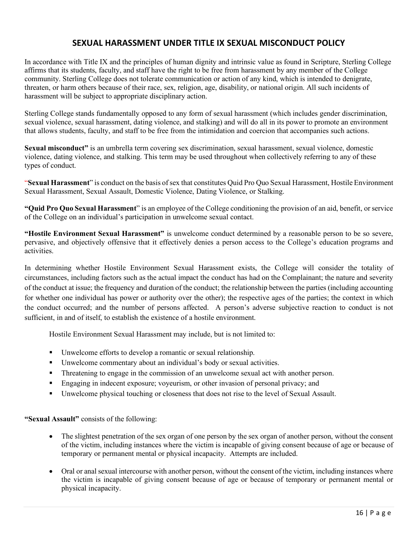### **SEXUAL HARASSMENT UNDER TITLE IX SEXUAL MISCONDUCT POLICY**

In accordance with Title IX and the principles of human dignity and intrinsic value as found in Scripture, Sterling College affirms that its students, faculty, and staff have the right to be free from harassment by any member of the College community. Sterling College does not tolerate communication or action of any kind, which is intended to denigrate, threaten, or harm others because of their race, sex, religion, age, disability, or national origin. All such incidents of harassment will be subject to appropriate disciplinary action.

Sterling College stands fundamentally opposed to any form of sexual harassment (which includes gender discrimination, sexual violence, sexual harassment, dating violence, and stalking) and will do all in its power to promote an environment that allows students, faculty, and staff to be free from the intimidation and coercion that accompanies such actions.

**Sexual misconduct"** is an umbrella term covering sex discrimination, sexual harassment, sexual violence, domestic violence, dating violence, and stalking. This term may be used throughout when collectively referring to any of these types of conduct.

"**Sexual Harassment**" is conduct on the basis ofsex that constitutes Quid Pro Quo Sexual Harassment, Hostile Environment Sexual Harassment, Sexual Assault, Domestic Violence, Dating Violence, or Stalking.

**"Quid Pro Quo Sexual Harassment**" is an employee of the College conditioning the provision of an aid, benefit, or service of the College on an individual's participation in unwelcome sexual contact.

**"Hostile Environment Sexual Harassment"** is unwelcome conduct determined by a reasonable person to be so severe, pervasive, and objectively offensive that it effectively denies a person access to the College's education programs and activities.

In determining whether Hostile Environment Sexual Harassment exists, the College will consider the totality of circumstances, including factors such as the actual impact the conduct has had on the Complainant; the nature and severity of the conduct at issue; the frequency and duration of the conduct; the relationship between the parties (including accounting for whether one individual has power or authority over the other); the respective ages of the parties; the context in which the conduct occurred; and the number of persons affected. A person's adverse subjective reaction to conduct is not sufficient, in and of itself, to establish the existence of a hostile environment.

Hostile Environment Sexual Harassment may include, but is not limited to:

- Unwelcome efforts to develop a romantic or sexual relationship.
- Unwelcome commentary about an individual's body or sexual activities.
- **Threatening to engage in the commission of an unwelcome sexual act with another person.**
- **Engaging in indecent exposure; voyeurism, or other invasion of personal privacy; and**
- Unwelcome physical touching or closeness that does not rise to the level of Sexual Assault.

**"Sexual Assault"** consists of the following:

- The slightest penetration of the sex organ of one person by the sex organ of another person, without the consent of the victim, including instances where the victim is incapable of giving consent because of age or because of temporary or permanent mental or physical incapacity. Attempts are included.
- Oral or anal sexual intercourse with another person, without the consent of the victim, including instances where the victim is incapable of giving consent because of age or because of temporary or permanent mental or physical incapacity.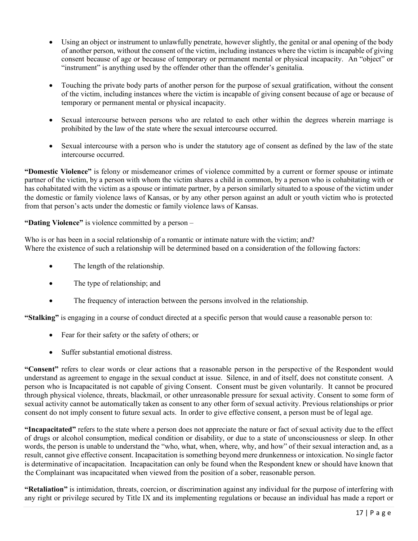- Using an object or instrument to unlawfully penetrate, however slightly, the genital or anal opening of the body of another person, without the consent of the victim, including instances where the victim is incapable of giving consent because of age or because of temporary or permanent mental or physical incapacity. An "object" or "instrument" is anything used by the offender other than the offender's genitalia.
- Touching the private body parts of another person for the purpose of sexual gratification, without the consent of the victim, including instances where the victim is incapable of giving consent because of age or because of temporary or permanent mental or physical incapacity.
- Sexual intercourse between persons who are related to each other within the degrees wherein marriage is prohibited by the law of the state where the sexual intercourse occurred.
- Sexual intercourse with a person who is under the statutory age of consent as defined by the law of the state intercourse occurred.

**"Domestic Violence"** is felony or misdemeanor crimes of violence committed by a current or former spouse or intimate partner of the victim, by a person with whom the victim shares a child in common, by a person who is cohabitating with or has cohabitated with the victim as a spouse or intimate partner, by a person similarly situated to a spouse of the victim under the domestic or family violence laws of Kansas, or by any other person against an adult or youth victim who is protected from that person's acts under the domestic or family violence laws of Kansas.

**"Dating Violence"** is violence committed by a person –

Who is or has been in a social relationship of a romantic or intimate nature with the victim; and? Where the existence of such a relationship will be determined based on a consideration of the following factors:

- The length of the relationship.
- The type of relationship; and
- The frequency of interaction between the persons involved in the relationship.

**"Stalking"** is engaging in a course of conduct directed at a specific person that would cause a reasonable person to:

- Fear for their safety or the safety of others; or
- Suffer substantial emotional distress.

**"Consent"** refers to clear words or clear actions that a reasonable person in the perspective of the Respondent would understand as agreement to engage in the sexual conduct at issue. Silence, in and of itself, does not constitute consent. A person who is Incapacitated is not capable of giving Consent. Consent must be given voluntarily. It cannot be procured through physical violence, threats, blackmail, or other unreasonable pressure for sexual activity. Consent to some form of sexual activity cannot be automatically taken as consent to any other form of sexual activity. Previous relationships or prior consent do not imply consent to future sexual acts. In order to give effective consent, a person must be of legal age.

**"Incapacitated"** refers to the state where a person does not appreciate the nature or fact of sexual activity due to the effect of drugs or alcohol consumption, medical condition or disability, or due to a state of unconsciousness or sleep. In other words, the person is unable to understand the "who, what, when, where, why, and how" of their sexual interaction and, as a result, cannot give effective consent. Incapacitation is something beyond mere drunkenness or intoxication. No single factor is determinative of incapacitation. Incapacitation can only be found when the Respondent knew or should have known that the Complainant was incapacitated when viewed from the position of a sober, reasonable person.

**"Retaliation"** is intimidation, threats, coercion, or discrimination against any individual for the purpose of interfering with any right or privilege secured by Title IX and its implementing regulations or because an individual has made a report or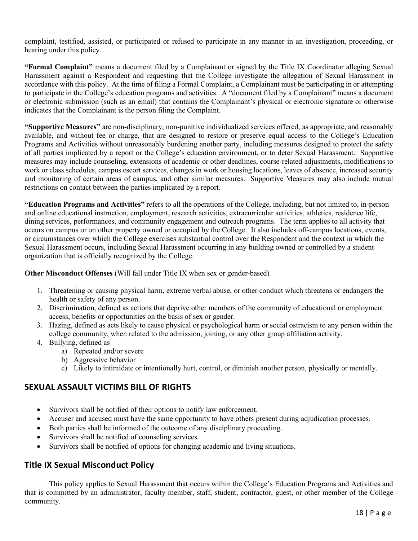complaint, testified, assisted, or participated or refused to participate in any manner in an investigation, proceeding, or hearing under this policy.

**"Formal Complaint"** means a document filed by a Complainant or signed by the Title IX Coordinator alleging Sexual Harassment against a Respondent and requesting that the College investigate the allegation of Sexual Harassment in accordance with this policy. At the time of filing a Formal Complaint, a Complainant must be participating in or attempting to participate in the College's education programs and activities. A "document filed by a Complainant" means a document or electronic submission (such as an email) that contains the Complainant's physical or electronic signature or otherwise indicates that the Complainant is the person filing the Complaint.

**"Supportive Measures"** are non-disciplinary, non-punitive individualized services offered, as appropriate, and reasonably available, and without fee or charge, that are designed to restore or preserve equal access to the College's Education Programs and Activities without unreasonably burdening another party, including measures designed to protect the safety of all parties implicated by a report or the College's education environment, or to deter Sexual Harassment. Supportive measures may include counseling, extensions of academic or other deadlines, course-related adjustments, modifications to work or class schedules, campus escort services, changes in work or housing locations, leaves of absence, increased security and monitoring of certain areas of campus, and other similar measures. Supportive Measures may also include mutual restrictions on contact between the parties implicated by a report.

**"Education Programs and Activities"** refers to all the operations of the College, including, but not limited to, in-person and online educational instruction, employment, research activities, extracurricular activities, athletics, residence life, dining services, performances, and community engagement and outreach programs. The term applies to all activity that occurs on campus or on other property owned or occupied by the College. It also includes off-campus locations, events, or circumstances over which the College exercises substantial control over the Respondent and the context in which the Sexual Harassment occurs, including Sexual Harassment occurring in any building owned or controlled by a student organization that is officially recognized by the College.

#### **Other Misconduct Offenses** (Will fall under Title IX when sex or gender-based)

- 1. Threatening or causing physical harm, extreme verbal abuse, or other conduct which threatens or endangers the health or safety of any person.
- 2. Discrimination, defined as actions that deprive other members of the community of educational or employment access, benefits or opportunities on the basis of sex or gender.
- 3. Hazing, defined as acts likely to cause physical or psychological harm or social ostracism to any person within the college community, when related to the admission, joining, or any other group affiliation activity.
- 4. Bullying, defined as
	- a) Repeated and/or severe
	- b) Aggressive behavior
	- c) Likely to intimidate or intentionally hurt, control, or diminish another person, physically or mentally.

#### **SEXUAL ASSAULT VICTIMS BILL OF RIGHTS**

- Survivors shall be notified of their options to notify law enforcement.
- Accuser and accused must have the same opportunity to have others present during adjudication processes.
- Both parties shall be informed of the outcome of any disciplinary proceeding.
- Survivors shall be notified of counseling services.
- Survivors shall be notified of options for changing academic and living situations.

### **Title IX Sexual Misconduct Policy**

This policy applies to Sexual Harassment that occurs within the College's Education Programs and Activities and that is committed by an administrator, faculty member, staff, student, contractor, guest, or other member of the College community.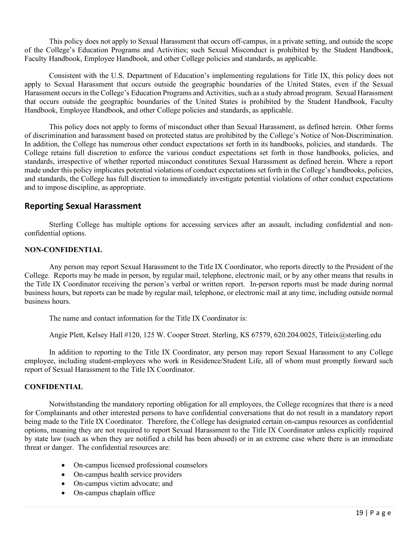This policy does not apply to Sexual Harassment that occurs off-campus, in a private setting, and outside the scope of the College's Education Programs and Activities; such Sexual Misconduct is prohibited by the Student Handbook, Faculty Handbook, Employee Handbook, and other College policies and standards, as applicable.

Consistent with the U.S. Department of Education's implementing regulations for Title IX, this policy does not apply to Sexual Harassment that occurs outside the geographic boundaries of the United States, even if the Sexual Harassment occurs in the College's Education Programs and Activities, such as a study abroad program. Sexual Harassment that occurs outside the geographic boundaries of the United States is prohibited by the Student Handbook, Faculty Handbook, Employee Handbook, and other College policies and standards, as applicable.

This policy does not apply to forms of misconduct other than Sexual Harassment, as defined herein. Other forms of discrimination and harassment based on protected status are prohibited by the College's Notice of Non-Discrimination. In addition, the College has numerous other conduct expectations set forth in its handbooks, policies, and standards. The College retains full discretion to enforce the various conduct expectations set forth in those handbooks, policies, and standards, irrespective of whether reported misconduct constitutes Sexual Harassment as defined herein. Where a report made under this policy implicates potential violations of conduct expectations set forth in the College's handbooks, policies, and standards, the College has full discretion to immediately investigate potential violations of other conduct expectations and to impose discipline, as appropriate.

#### **Reporting Sexual Harassment**

Sterling College has multiple options for accessing services after an assault, including confidential and nonconfidential options.

#### **NON-CONFIDENTIAL**

Any person may report Sexual Harassment to the Title IX Coordinator, who reports directly to the President of the College. Reports may be made in person, by regular mail, telephone, electronic mail, or by any other means that results in the Title IX Coordinator receiving the person's verbal or written report. In-person reports must be made during normal business hours, but reports can be made by regular mail, telephone, or electronic mail at any time, including outside normal business hours.

The name and contact information for the Title IX Coordinator is:

Angie Plett, Kelsey Hall #120, 125 W. Cooper Street. Sterling, KS 67579, 620.204.0025, Titleix@sterling.edu

In addition to reporting to the Title IX Coordinator, any person may report Sexual Harassment to any College employee, including student-employees who work in Residence/Student Life, all of whom must promptly forward such report of Sexual Harassment to the Title IX Coordinator.

#### **CONFIDENTIAL**

Notwithstanding the mandatory reporting obligation for all employees, the College recognizes that there is a need for Complainants and other interested persons to have confidential conversations that do not result in a mandatory report being made to the Title IX Coordinator. Therefore, the College has designated certain on-campus resources as confidential options, meaning they are not required to report Sexual Harassment to the Title IX Coordinator unless explicitly required by state law (such as when they are notified a child has been abused) or in an extreme case where there is an immediate threat or danger. The confidential resources are:

- On-campus licensed professional counselors
- On-campus health service providers
- On-campus victim advocate; and
- On-campus chaplain office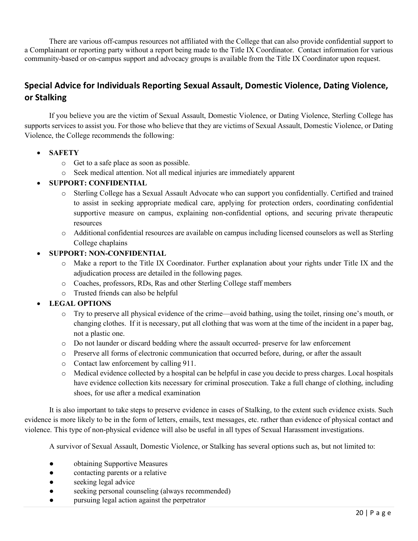There are various off-campus resources not affiliated with the College that can also provide confidential support to a Complainant or reporting party without a report being made to the Title IX Coordinator. Contact information for various community-based or on-campus support and advocacy groups is available from the Title IX Coordinator upon request.

# **Special Advice for Individuals Reporting Sexual Assault, Domestic Violence, Dating Violence, or Stalking**

If you believe you are the victim of Sexual Assault, Domestic Violence, or Dating Violence, Sterling College has supports services to assist you. For those who believe that they are victims of Sexual Assault, Domestic Violence, or Dating Violence, the College recommends the following:

- **SAFETY**
	- o Get to a safe place as soon as possible.
	- o Seek medical attention. Not all medical injuries are immediately apparent

#### • **SUPPORT: CONFIDENTIAL**

- o Sterling College has a Sexual Assault Advocate who can support you confidentially. Certified and trained to assist in seeking appropriate medical care, applying for protection orders, coordinating confidential supportive measure on campus, explaining non-confidential options, and securing private therapeutic resources
- o Additional confidential resources are available on campus including licensed counselors as well as Sterling College chaplains

#### • **SUPPORT: NON-CONFIDENTIAL**

- o Make a report to the Title IX Coordinator. Further explanation about your rights under Title IX and the adjudication process are detailed in the following pages.
- o Coaches, professors, RDs, Ras and other Sterling College staff members
- o Trusted friends can also be helpful

#### • **LEGAL OPTIONS**

- o Try to preserve all physical evidence of the crime—avoid bathing, using the toilet, rinsing one's mouth, or changing clothes. If it is necessary, put all clothing that was worn at the time of the incident in a paper bag, not a plastic one.
- o Do not launder or discard bedding where the assault occurred- preserve for law enforcement
- o Preserve all forms of electronic communication that occurred before, during, or after the assault
- o Contact law enforcement by calling 911.
- o Medical evidence collected by a hospital can be helpful in case you decide to press charges. Local hospitals have evidence collection kits necessary for criminal prosecution. Take a full change of clothing, including shoes, for use after a medical examination

It is also important to take steps to preserve evidence in cases of Stalking, to the extent such evidence exists. Such evidence is more likely to be in the form of letters, emails, text messages, etc. rather than evidence of physical contact and violence. This type of non-physical evidence will also be useful in all types of Sexual Harassment investigations.

A survivor of Sexual Assault, Domestic Violence, or Stalking has several options such as, but not limited to:

- obtaining Supportive Measures
- contacting parents or a relative
- seeking legal advice
- seeking personal counseling (always recommended)
- pursuing legal action against the perpetrator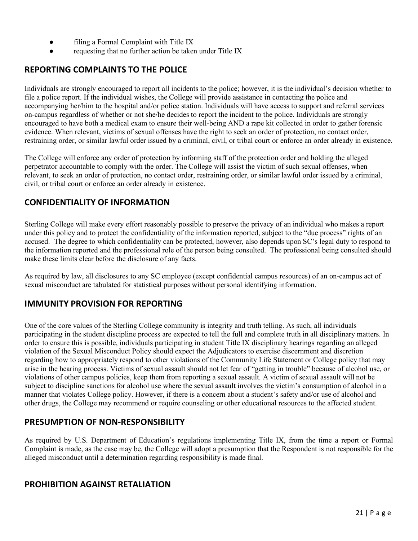- filing a Formal Complaint with Title IX
- requesting that no further action be taken under Title IX

### **REPORTING COMPLAINTS TO THE POLICE**

Individuals are strongly encouraged to report all incidents to the police; however, it is the individual's decision whether to file a police report. If the individual wishes, the College will provide assistance in contacting the police and accompanying her/him to the hospital and/or police station. Individuals will have access to support and referral services on-campus regardless of whether or not she/he decides to report the incident to the police. Individuals are strongly encouraged to have both a medical exam to ensure their well-being AND a rape kit collected in order to gather forensic evidence. When relevant, victims of sexual offenses have the right to seek an order of protection, no contact order, restraining order, or similar lawful order issued by a criminal, civil, or tribal court or enforce an order already in existence.

The College will enforce any order of protection by informing staff of the protection order and holding the alleged perpetrator accountable to comply with the order. The College will assist the victim of such sexual offenses, when relevant, to seek an order of protection, no contact order, restraining order, or similar lawful order issued by a criminal, civil, or tribal court or enforce an order already in existence.

### **CONFIDENTIALITY OF INFORMATION**

Sterling College will make every effort reasonably possible to preserve the privacy of an individual who makes a report under this policy and to protect the confidentiality of the information reported, subject to the "due process" rights of an accused. The degree to which confidentiality can be protected, however, also depends upon SC's legal duty to respond to the information reported and the professional role of the person being consulted. The professional being consulted should make these limits clear before the disclosure of any facts.

As required by law, all disclosures to any SC employee (except confidential campus resources) of an on-campus act of sexual misconduct are tabulated for statistical purposes without personal identifying information.

### **IMMUNITY PROVISION FOR REPORTING**

One of the core values of the Sterling College community is integrity and truth telling. As such, all individuals participating in the student discipline process are expected to tell the full and complete truth in all disciplinary matters. In order to ensure this is possible, individuals participating in student Title IX disciplinary hearings regarding an alleged violation of the Sexual Misconduct Policy should expect the Adjudicators to exercise discernment and discretion regarding how to appropriately respond to other violations of the Community Life Statement or College policy that may arise in the hearing process. Victims of sexual assault should not let fear of "getting in trouble" because of alcohol use, or violations of other campus policies, keep them from reporting a sexual assault. A victim of sexual assault will not be subject to discipline sanctions for alcohol use where the sexual assault involves the victim's consumption of alcohol in a manner that violates College policy. However, if there is a concern about a student's safety and/or use of alcohol and other drugs, the College may recommend or require counseling or other educational resources to the affected student.

### **PRESUMPTION OF NON-RESPONSIBILITY**

As required by U.S. Department of Education's regulations implementing Title IX, from the time a report or Formal Complaint is made, as the case may be, the College will adopt a presumption that the Respondent is not responsible for the alleged misconduct until a determination regarding responsibility is made final.

### **PROHIBITION AGAINST RETALIATION**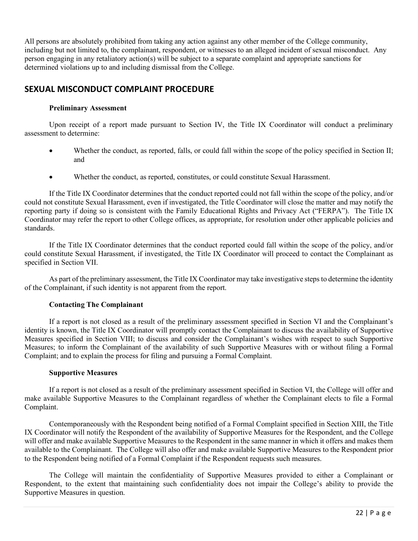All persons are absolutely prohibited from taking any action against any other member of the College community, including but not limited to, the complainant, respondent, or witnesses to an alleged incident of sexual misconduct. Any person engaging in any retaliatory action(s) will be subject to a separate complaint and appropriate sanctions for determined violations up to and including dismissal from the College.

### **SEXUAL MISCONDUCT COMPLAINT PROCEDURE**

#### **Preliminary Assessment**

Upon receipt of a report made pursuant to Section IV, the Title IX Coordinator will conduct a preliminary assessment to determine:

- Whether the conduct, as reported, falls, or could fall within the scope of the policy specified in Section II; and
- Whether the conduct, as reported, constitutes, or could constitute Sexual Harassment.

If the Title IX Coordinator determines that the conduct reported could not fall within the scope of the policy, and/or could not constitute Sexual Harassment, even if investigated, the Title Coordinator will close the matter and may notify the reporting party if doing so is consistent with the Family Educational Rights and Privacy Act ("FERPA"). The Title IX Coordinator may refer the report to other College offices, as appropriate, for resolution under other applicable policies and standards.

If the Title IX Coordinator determines that the conduct reported could fall within the scope of the policy, and/or could constitute Sexual Harassment, if investigated, the Title IX Coordinator will proceed to contact the Complainant as specified in Section VII.

As part of the preliminary assessment, the Title IX Coordinator may take investigative steps to determine the identity of the Complainant, if such identity is not apparent from the report.

#### **Contacting The Complainant**

If a report is not closed as a result of the preliminary assessment specified in Section VI and the Complainant's identity is known, the Title IX Coordinator will promptly contact the Complainant to discuss the availability of Supportive Measures specified in Section VIII; to discuss and consider the Complainant's wishes with respect to such Supportive Measures; to inform the Complainant of the availability of such Supportive Measures with or without filing a Formal Complaint; and to explain the process for filing and pursuing a Formal Complaint.

#### **Supportive Measures**

If a report is not closed as a result of the preliminary assessment specified in Section VI, the College will offer and make available Supportive Measures to the Complainant regardless of whether the Complainant elects to file a Formal Complaint.

Contemporaneously with the Respondent being notified of a Formal Complaint specified in Section XIII, the Title IX Coordinator will notify the Respondent of the availability of Supportive Measures for the Respondent, and the College will offer and make available Supportive Measures to the Respondent in the same manner in which it offers and makes them available to the Complainant. The College will also offer and make available Supportive Measures to the Respondent prior to the Respondent being notified of a Formal Complaint if the Respondent requests such measures.

The College will maintain the confidentiality of Supportive Measures provided to either a Complainant or Respondent, to the extent that maintaining such confidentiality does not impair the College's ability to provide the Supportive Measures in question.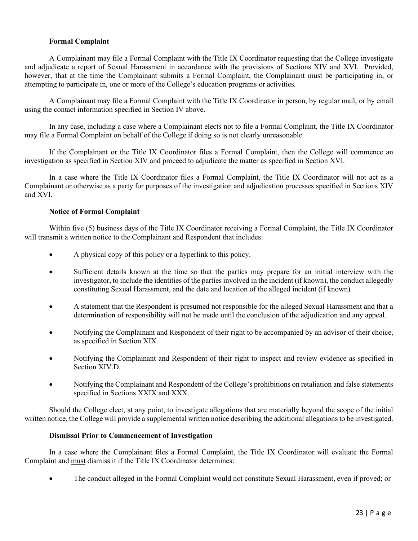#### **Formal Complaint**

A Complainant may file a Formal Complaint with the Title IX Coordinator requesting that the College investigate and adjudicate a report of Sexual Harassment in accordance with the provisions of Sections XIV and XVI. Provided, however, that at the time the Complainant submits a Formal Complaint, the Complainant must be participating in, or attempting to participate in, one or more of the College's education programs or activities.

A Complainant may file a Formal Complaint with the Title IX Coordinator in person, by regular mail, or by email using the contact information specified in Section IV above.

In any case, including a case where a Complainant elects not to file a Formal Complaint, the Title IX Coordinator may file a Formal Complaint on behalf of the College if doing so is not clearly unreasonable.

If the Complainant or the Title IX Coordinator files a Formal Complaint, then the College will commence an investigation as specified in Section XIV and proceed to adjudicate the matter as specified in Section XVI.

In a case where the Title IX Coordinator files a Formal Complaint, the Title IX Coordinator will not act as a Complainant or otherwise as a party for purposes of the investigation and adjudication processes specified in Sections XIV and XVI.

#### **Notice of Formal Complaint**

Within five (5) business days of the Title IX Coordinator receiving a Formal Complaint, the Title IX Coordinator will transmit a written notice to the Complainant and Respondent that includes:

- A physical copy of this policy or a hyperlink to this policy.
- Sufficient details known at the time so that the parties may prepare for an initial interview with the investigator, to include the identities of the parties involved in the incident (if known), the conduct allegedly constituting Sexual Harassment, and the date and location of the alleged incident (if known).
- A statement that the Respondent is presumed not responsible for the alleged Sexual Harassment and that a determination of responsibility will not be made until the conclusion of the adjudication and any appeal.
- Notifying the Complainant and Respondent of their right to be accompanied by an advisor of their choice, as specified in Section XIX.
- Notifying the Complainant and Respondent of their right to inspect and review evidence as specified in Section XIV.D.
- Notifying the Complainant and Respondent of the College's prohibitions on retaliation and false statements specified in Sections XXIX and XXX.

Should the College elect, at any point, to investigate allegations that are materially beyond the scope of the initial written notice, the College will provide a supplemental written notice describing the additional allegations to be investigated.

#### **Dismissal Prior to Commencement of Investigation**

In a case where the Complainant files a Formal Complaint, the Title IX Coordinator will evaluate the Formal Complaint and must dismiss it if the Title IX Coordinator determines:

• The conduct alleged in the Formal Complaint would not constitute Sexual Harassment, even if proved; or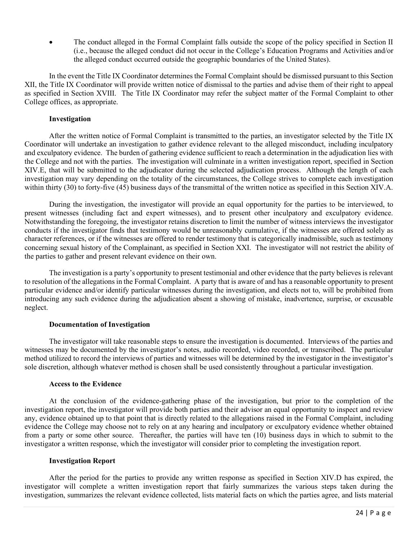The conduct alleged in the Formal Complaint falls outside the scope of the policy specified in Section II (i.e., because the alleged conduct did not occur in the College's Education Programs and Activities and/or the alleged conduct occurred outside the geographic boundaries of the United States).

In the event the Title IX Coordinator determines the Formal Complaint should be dismissed pursuant to this Section XII, the Title IX Coordinator will provide written notice of dismissal to the parties and advise them of their right to appeal as specified in Section XVIII. The Title IX Coordinator may refer the subject matter of the Formal Complaint to other College offices, as appropriate.

#### **Investigation**

After the written notice of Formal Complaint is transmitted to the parties, an investigator selected by the Title IX Coordinator will undertake an investigation to gather evidence relevant to the alleged misconduct, including inculpatory and exculpatory evidence. The burden of gathering evidence sufficient to reach a determination in the adjudication lies with the College and not with the parties. The investigation will culminate in a written investigation report, specified in Section XIV.E, that will be submitted to the adjudicator during the selected adjudication process. Although the length of each investigation may vary depending on the totality of the circumstances, the College strives to complete each investigation within thirty (30) to forty-five (45) business days of the transmittal of the written notice as specified in this Section XIV.A.

During the investigation, the investigator will provide an equal opportunity for the parties to be interviewed, to present witnesses (including fact and expert witnesses), and to present other inculpatory and exculpatory evidence. Notwithstanding the foregoing, the investigator retains discretion to limit the number of witness interviews the investigator conducts if the investigator finds that testimony would be unreasonably cumulative, if the witnesses are offered solely as character references, or if the witnesses are offered to render testimony that is categorically inadmissible, such as testimony concerning sexual history of the Complainant, as specified in Section XXI. The investigator will not restrict the ability of the parties to gather and present relevant evidence on their own.

The investigation is a party's opportunity to present testimonial and other evidence that the party believes is relevant to resolution of the allegations in the Formal Complaint. A party that is aware of and has a reasonable opportunity to present particular evidence and/or identify particular witnesses during the investigation, and elects not to, will be prohibited from introducing any such evidence during the adjudication absent a showing of mistake, inadvertence, surprise, or excusable neglect.

#### **Documentation of Investigation**

The investigator will take reasonable steps to ensure the investigation is documented. Interviews of the parties and witnesses may be documented by the investigator's notes, audio recorded, video recorded, or transcribed. The particular method utilized to record the interviews of parties and witnesses will be determined by the investigator in the investigator's sole discretion, although whatever method is chosen shall be used consistently throughout a particular investigation.

#### **Access to the Evidence**

At the conclusion of the evidence-gathering phase of the investigation, but prior to the completion of the investigation report, the investigator will provide both parties and their advisor an equal opportunity to inspect and review any, evidence obtained up to that point that is directly related to the allegations raised in the Formal Complaint, including evidence the College may choose not to rely on at any hearing and inculpatory or exculpatory evidence whether obtained from a party or some other source. Thereafter, the parties will have ten (10) business days in which to submit to the investigator a written response, which the investigator will consider prior to completing the investigation report.

#### **Investigation Report**

After the period for the parties to provide any written response as specified in Section XIV.D has expired, the investigator will complete a written investigation report that fairly summarizes the various steps taken during the investigation, summarizes the relevant evidence collected, lists material facts on which the parties agree, and lists material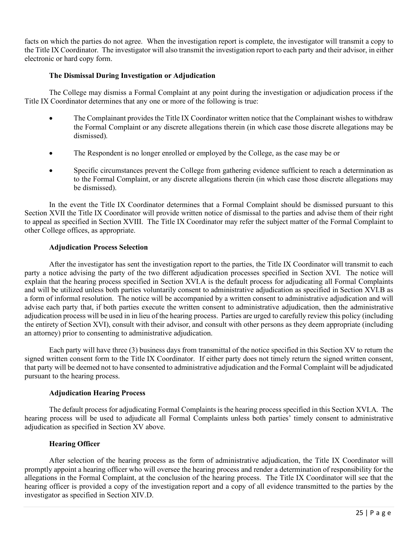facts on which the parties do not agree. When the investigation report is complete, the investigator will transmit a copy to the Title IX Coordinator. The investigator will also transmit the investigation report to each party and their advisor, in either electronic or hard copy form.

#### **The Dismissal During Investigation or Adjudication**

The College may dismiss a Formal Complaint at any point during the investigation or adjudication process if the Title IX Coordinator determines that any one or more of the following is true:

- The Complainant provides the Title IX Coordinator written notice that the Complainant wishes to withdraw the Formal Complaint or any discrete allegations therein (in which case those discrete allegations may be dismissed).
- The Respondent is no longer enrolled or employed by the College, as the case may be or
- Specific circumstances prevent the College from gathering evidence sufficient to reach a determination as to the Formal Complaint, or any discrete allegations therein (in which case those discrete allegations may be dismissed).

In the event the Title IX Coordinator determines that a Formal Complaint should be dismissed pursuant to this Section XVII the Title IX Coordinator will provide written notice of dismissal to the parties and advise them of their right to appeal as specified in Section XVIII. The Title IX Coordinator may refer the subject matter of the Formal Complaint to other College offices, as appropriate.

#### **Adjudication Process Selection**

After the investigator has sent the investigation report to the parties, the Title IX Coordinator will transmit to each party a notice advising the party of the two different adjudication processes specified in Section XVI. The notice will explain that the hearing process specified in Section XVI.A is the default process for adjudicating all Formal Complaints and will be utilized unless both parties voluntarily consent to administrative adjudication as specified in Section XVI.B as a form of informal resolution. The notice will be accompanied by a written consent to administrative adjudication and will advise each party that, if both parties execute the written consent to administrative adjudication, then the administrative adjudication process will be used in in lieu of the hearing process. Parties are urged to carefully review this policy (including the entirety of Section XVI), consult with their advisor, and consult with other persons as they deem appropriate (including an attorney) prior to consenting to administrative adjudication.

Each party will have three (3) business days from transmittal of the notice specified in this Section XV to return the signed written consent form to the Title IX Coordinator. If either party does not timely return the signed written consent, that party will be deemed not to have consented to administrative adjudication and the Formal Complaint will be adjudicated pursuant to the hearing process.

#### **Adjudication Hearing Process**

The default process for adjudicating Formal Complaints is the hearing process specified in this Section XVI.A. The hearing process will be used to adjudicate all Formal Complaints unless both parties' timely consent to administrative adjudication as specified in Section XV above.

#### **Hearing Officer**

After selection of the hearing process as the form of administrative adjudication, the Title IX Coordinator will promptly appoint a hearing officer who will oversee the hearing process and render a determination of responsibility for the allegations in the Formal Complaint, at the conclusion of the hearing process. The Title IX Coordinator will see that the hearing officer is provided a copy of the investigation report and a copy of all evidence transmitted to the parties by the investigator as specified in Section XIV.D.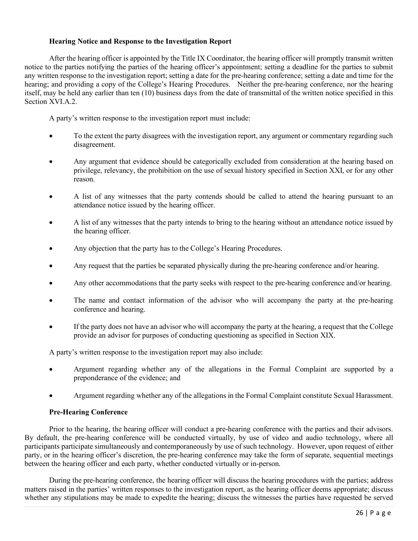#### **Hearing Notice and Response to the Investigation Report**

After the hearing officer is appointed by the Title IX Coordinator, the hearing officer will promptly transmit written notice to the parties notifying the parties of the hearing officer's appointment; setting a deadline for the parties to submit any written response to the investigation report; setting a date for the pre-hearing conference; setting a date and time for the hearing; and providing a copy of the College's Hearing Procedures. Neither the pre-hearing conference, nor the hearing itself, may be held any earlier than ten (10) business days from the date of transmittal of the written notice specified in this Section XVI.A.2.

A party's written response to the investigation report must include:

- To the extent the party disagrees with the investigation report, any argument or commentary regarding such disagreement.
- Any argument that evidence should be categorically excluded from consideration at the hearing based on privilege, relevancy, the prohibition on the use of sexual history specified in Section XXI, or for any other reason.
- A list of any witnesses that the party contends should be called to attend the hearing pursuant to an attendance notice issued by the hearing officer.
- A list of any witnesses that the party intends to bring to the hearing without an attendance notice issued by the hearing officer.
- Any objection that the party has to the College's Hearing Procedures.
- Any request that the parties be separated physically during the pre-hearing conference and/or hearing.
- Any other accommodations that the party seeks with respect to the pre-hearing conference and/or hearing.
- The name and contact information of the advisor who will accompany the party at the pre-hearing conference and hearing.
- If the party does not have an advisor who will accompany the party at the hearing, a request that the College provide an advisor for purposes of conducting questioning as specified in Section XIX.

A party's written response to the investigation report may also include:

- Argument regarding whether any of the allegations in the Formal Complaint are supported by a preponderance of the evidence; and
- Argument regarding whether any of the allegations in the Formal Complaint constitute Sexual Harassment.

#### **Pre-Hearing Conference**

Prior to the hearing, the hearing officer will conduct a pre-hearing conference with the parties and their advisors. By default, the pre-hearing conference will be conducted virtually, by use of video and audio technology, where all participants participate simultaneously and contemporaneously by use of such technology. However, upon request of either party, or in the hearing officer's discretion, the pre-hearing conference may take the form of separate, sequential meetings between the hearing officer and each party, whether conducted virtually or in-person.

During the pre-hearing conference, the hearing officer will discuss the hearing procedures with the parties; address matters raised in the parties' written responses to the investigation report, as the hearing officer deems appropriate; discuss whether any stipulations may be made to expedite the hearing; discuss the witnesses the parties have requested be served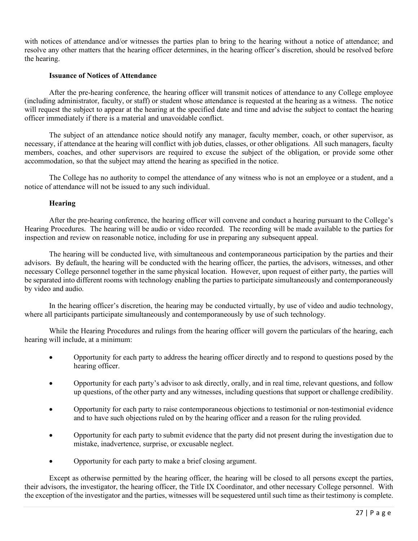with notices of attendance and/or witnesses the parties plan to bring to the hearing without a notice of attendance; and resolve any other matters that the hearing officer determines, in the hearing officer's discretion, should be resolved before the hearing.

#### **Issuance of Notices of Attendance**

After the pre-hearing conference, the hearing officer will transmit notices of attendance to any College employee (including administrator, faculty, or staff) or student whose attendance is requested at the hearing as a witness. The notice will request the subject to appear at the hearing at the specified date and time and advise the subject to contact the hearing officer immediately if there is a material and unavoidable conflict.

The subject of an attendance notice should notify any manager, faculty member, coach, or other supervisor, as necessary, if attendance at the hearing will conflict with job duties, classes, or other obligations. All such managers, faculty members, coaches, and other supervisors are required to excuse the subject of the obligation, or provide some other accommodation, so that the subject may attend the hearing as specified in the notice.

The College has no authority to compel the attendance of any witness who is not an employee or a student, and a notice of attendance will not be issued to any such individual.

#### **Hearing**

After the pre-hearing conference, the hearing officer will convene and conduct a hearing pursuant to the College's Hearing Procedures. The hearing will be audio or video recorded. The recording will be made available to the parties for inspection and review on reasonable notice, including for use in preparing any subsequent appeal.

The hearing will be conducted live, with simultaneous and contemporaneous participation by the parties and their advisors. By default, the hearing will be conducted with the hearing officer, the parties, the advisors, witnesses, and other necessary College personnel together in the same physical location. However, upon request of either party, the parties will be separated into different rooms with technology enabling the parties to participate simultaneously and contemporaneously by video and audio.

In the hearing officer's discretion, the hearing may be conducted virtually, by use of video and audio technology, where all participants participate simultaneously and contemporaneously by use of such technology.

While the Hearing Procedures and rulings from the hearing officer will govern the particulars of the hearing, each hearing will include, at a minimum:

- Opportunity for each party to address the hearing officer directly and to respond to questions posed by the hearing officer.
- Opportunity for each party's advisor to ask directly, orally, and in real time, relevant questions, and follow up questions, of the other party and any witnesses, including questions that support or challenge credibility.
- Opportunity for each party to raise contemporaneous objections to testimonial or non-testimonial evidence and to have such objections ruled on by the hearing officer and a reason for the ruling provided.
- Opportunity for each party to submit evidence that the party did not present during the investigation due to mistake, inadvertence, surprise, or excusable neglect.
- Opportunity for each party to make a brief closing argument.

Except as otherwise permitted by the hearing officer, the hearing will be closed to all persons except the parties, their advisors, the investigator, the hearing officer, the Title IX Coordinator, and other necessary College personnel. With the exception of the investigator and the parties, witnesses will be sequestered until such time as their testimony is complete.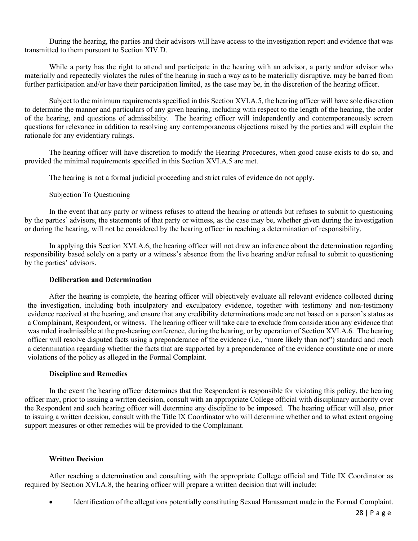During the hearing, the parties and their advisors will have access to the investigation report and evidence that was transmitted to them pursuant to Section XIV.D.

While a party has the right to attend and participate in the hearing with an advisor, a party and/or advisor who materially and repeatedly violates the rules of the hearing in such a way as to be materially disruptive, may be barred from further participation and/or have their participation limited, as the case may be, in the discretion of the hearing officer.

Subject to the minimum requirements specified in this Section XVI.A.5, the hearing officer will have sole discretion to determine the manner and particulars of any given hearing, including with respect to the length of the hearing, the order of the hearing, and questions of admissibility. The hearing officer will independently and contemporaneously screen questions for relevance in addition to resolving any contemporaneous objections raised by the parties and will explain the rationale for any evidentiary rulings.

The hearing officer will have discretion to modify the Hearing Procedures, when good cause exists to do so, and provided the minimal requirements specified in this Section XVI.A.5 are met.

The hearing is not a formal judicial proceeding and strict rules of evidence do not apply.

Subjection To Questioning

In the event that any party or witness refuses to attend the hearing or attends but refuses to submit to questioning by the parties' advisors, the statements of that party or witness, as the case may be, whether given during the investigation or during the hearing, will not be considered by the hearing officer in reaching a determination of responsibility.

In applying this Section XVI.A.6, the hearing officer will not draw an inference about the determination regarding responsibility based solely on a party or a witness's absence from the live hearing and/or refusal to submit to questioning by the parties' advisors.

#### **Deliberation and Determination**

After the hearing is complete, the hearing officer will objectively evaluate all relevant evidence collected during the investigation, including both inculpatory and exculpatory evidence, together with testimony and non-testimony evidence received at the hearing, and ensure that any credibility determinations made are not based on a person's status as a Complainant, Respondent, or witness. The hearing officer will take care to exclude from consideration any evidence that was ruled inadmissible at the pre-hearing conference, during the hearing, or by operation of Section XVI.A.6. The hearing officer will resolve disputed facts using a preponderance of the evidence (i.e., "more likely than not") standard and reach a determination regarding whether the facts that are supported by a preponderance of the evidence constitute one or more violations of the policy as alleged in the Formal Complaint.

#### **Discipline and Remedies**

In the event the hearing officer determines that the Respondent is responsible for violating this policy, the hearing officer may, prior to issuing a written decision, consult with an appropriate College official with disciplinary authority over the Respondent and such hearing officer will determine any discipline to be imposed. The hearing officer will also, prior to issuing a written decision, consult with the Title IX Coordinator who will determine whether and to what extent ongoing support measures or other remedies will be provided to the Complainant.

#### **Written Decision**

After reaching a determination and consulting with the appropriate College official and Title IX Coordinator as required by Section XVI.A.8, the hearing officer will prepare a written decision that will include:

• Identification of the allegations potentially constituting Sexual Harassment made in the Formal Complaint.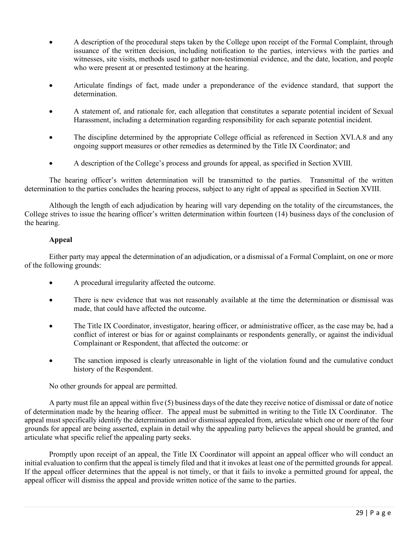- A description of the procedural steps taken by the College upon receipt of the Formal Complaint, through issuance of the written decision, including notification to the parties, interviews with the parties and witnesses, site visits, methods used to gather non-testimonial evidence, and the date, location, and people who were present at or presented testimony at the hearing.
- Articulate findings of fact, made under a preponderance of the evidence standard, that support the determination.
- A statement of, and rationale for, each allegation that constitutes a separate potential incident of Sexual Harassment, including a determination regarding responsibility for each separate potential incident.
- The discipline determined by the appropriate College official as referenced in Section XVI.A.8 and any ongoing support measures or other remedies as determined by the Title IX Coordinator; and
- A description of the College's process and grounds for appeal, as specified in Section XVIII.

The hearing officer's written determination will be transmitted to the parties. Transmittal of the written determination to the parties concludes the hearing process, subject to any right of appeal as specified in Section XVIII.

Although the length of each adjudication by hearing will vary depending on the totality of the circumstances, the College strives to issue the hearing officer's written determination within fourteen (14) business days of the conclusion of the hearing.

#### **Appeal**

Either party may appeal the determination of an adjudication, or a dismissal of a Formal Complaint, on one or more of the following grounds:

- A procedural irregularity affected the outcome.
- There is new evidence that was not reasonably available at the time the determination or dismissal was made, that could have affected the outcome.
- The Title IX Coordinator, investigator, hearing officer, or administrative officer, as the case may be, had a conflict of interest or bias for or against complainants or respondents generally, or against the individual Complainant or Respondent, that affected the outcome: or
- The sanction imposed is clearly unreasonable in light of the violation found and the cumulative conduct history of the Respondent.

No other grounds for appeal are permitted.

A party must file an appeal within five (5) business days of the date they receive notice of dismissal or date of notice of determination made by the hearing officer. The appeal must be submitted in writing to the Title IX Coordinator. The appeal must specifically identify the determination and/or dismissal appealed from, articulate which one or more of the four grounds for appeal are being asserted, explain in detail why the appealing party believes the appeal should be granted, and articulate what specific relief the appealing party seeks.

Promptly upon receipt of an appeal, the Title IX Coordinator will appoint an appeal officer who will conduct an initial evaluation to confirm that the appeal is timely filed and that it invokes at least one of the permitted grounds for appeal. If the appeal officer determines that the appeal is not timely, or that it fails to invoke a permitted ground for appeal, the appeal officer will dismiss the appeal and provide written notice of the same to the parties.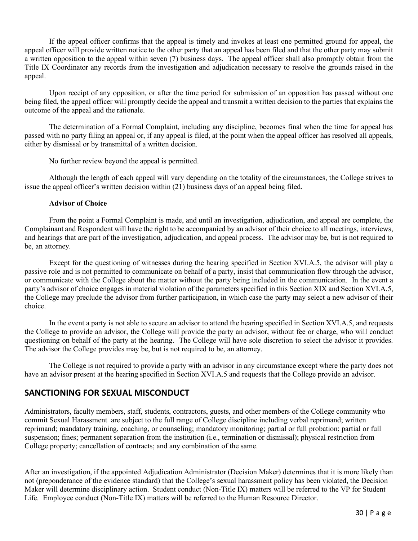If the appeal officer confirms that the appeal is timely and invokes at least one permitted ground for appeal, the appeal officer will provide written notice to the other party that an appeal has been filed and that the other party may submit a written opposition to the appeal within seven (7) business days. The appeal officer shall also promptly obtain from the Title IX Coordinator any records from the investigation and adjudication necessary to resolve the grounds raised in the appeal.

Upon receipt of any opposition, or after the time period for submission of an opposition has passed without one being filed, the appeal officer will promptly decide the appeal and transmit a written decision to the parties that explains the outcome of the appeal and the rationale.

The determination of a Formal Complaint, including any discipline, becomes final when the time for appeal has passed with no party filing an appeal or, if any appeal is filed, at the point when the appeal officer has resolved all appeals, either by dismissal or by transmittal of a written decision.

No further review beyond the appeal is permitted.

Although the length of each appeal will vary depending on the totality of the circumstances, the College strives to issue the appeal officer's written decision within (21) business days of an appeal being filed.

#### **Advisor of Choice**

From the point a Formal Complaint is made, and until an investigation, adjudication, and appeal are complete, the Complainant and Respondent will have the right to be accompanied by an advisor of their choice to all meetings, interviews, and hearings that are part of the investigation, adjudication, and appeal process. The advisor may be, but is not required to be, an attorney.

Except for the questioning of witnesses during the hearing specified in Section XVI.A.5, the advisor will play a passive role and is not permitted to communicate on behalf of a party, insist that communication flow through the advisor, or communicate with the College about the matter without the party being included in the communication. In the event a party's advisor of choice engages in material violation of the parameters specified in this Section XIX and Section XVI.A.5, the College may preclude the advisor from further participation, in which case the party may select a new advisor of their choice.

In the event a party is not able to secure an advisor to attend the hearing specified in Section XVI.A.5, and requests the College to provide an advisor, the College will provide the party an advisor, without fee or charge, who will conduct questioning on behalf of the party at the hearing. The College will have sole discretion to select the advisor it provides. The advisor the College provides may be, but is not required to be, an attorney.

The College is not required to provide a party with an advisor in any circumstance except where the party does not have an advisor present at the hearing specified in Section XVI.A.5 and requests that the College provide an advisor.

### **SANCTIONING FOR SEXUAL MISCONDUCT**

Administrators, faculty members, staff, students, contractors, guests, and other members of the College community who commit Sexual Harassment are subject to the full range of College discipline including verbal reprimand; written reprimand; mandatory training, coaching, or counseling; mandatory monitoring; partial or full probation; partial or full suspension; fines; permanent separation from the institution (i.e., termination or dismissal); physical restriction from College property; cancellation of contracts; and any combination of the same.

After an investigation, if the appointed Adjudication Administrator (Decision Maker) determines that it is more likely than not (preponderance of the evidence standard) that the College's sexual harassment policy has been violated, the Decision Maker will determine disciplinary action. Student conduct (Non-Title IX) matters will be referred to the VP for Student Life. Employee conduct (Non-Title IX) matters will be referred to the Human Resource Director.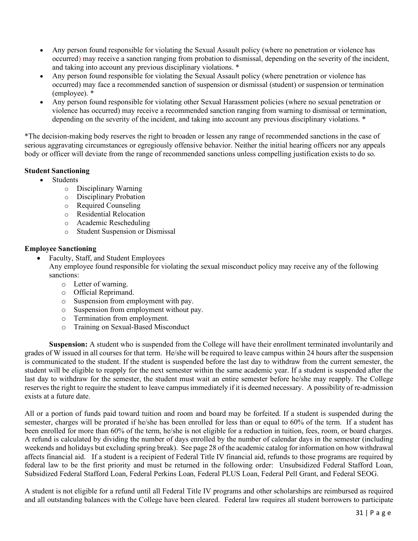- Any person found responsible for violating the Sexual Assault policy (where no penetration or violence has occurred) may receive a sanction ranging from probation to dismissal, depending on the severity of the incident, and taking into account any previous disciplinary violations. \*
- Any person found responsible for violating the Sexual Assault policy (where penetration or violence has occurred) may face a recommended sanction of suspension or dismissal (student) or suspension or termination (employee). \*
- Any person found responsible for violating other Sexual Harassment policies (where no sexual penetration or violence has occurred) may receive a recommended sanction ranging from warning to dismissal or termination, depending on the severity of the incident, and taking into account any previous disciplinary violations. \*

\*The decision-making body reserves the right to broaden or lessen any range of recommended sanctions in the case of serious aggravating circumstances or egregiously offensive behavior. Neither the initial hearing officers nor any appeals body or officer will deviate from the range of recommended sanctions unless compelling justification exists to do so.

#### **Student Sanctioning**

- Students
	- o Disciplinary Warning
	- o Disciplinary Probation
	- o Required Counseling
	- o Residential Relocation
	- o Academic Rescheduling
	- o Student Suspension or Dismissal

#### **Employee Sanctioning**

• Faculty, Staff, and Student Employees

Any employee found responsible for violating the sexual misconduct policy may receive any of the following sanctions:

- o Letter of warning.
- o Official Reprimand.
- o Suspension from employment with pay.
- o Suspension from employment without pay.
- o Termination from employment.
- o Training on Sexual-Based Misconduct

**Suspension:** A student who is suspended from the College will have their enrollment terminated involuntarily and grades of W issued in all courses for that term. He/she will be required to leave campus within 24 hours after the suspension is communicated to the student. If the student is suspended before the last day to withdraw from the current semester, the student will be eligible to reapply for the next semester within the same academic year. If a student is suspended after the last day to withdraw for the semester, the student must wait an entire semester before he/she may reapply. The College reserves the right to require the student to leave campus immediately if it is deemed necessary. A possibility of re-admission exists at a future date.

All or a portion of funds paid toward tuition and room and board may be forfeited. If a student is suspended during the semester, charges will be prorated if he/she has been enrolled for less than or equal to 60% of the term. If a student has been enrolled for more than 60% of the term, he/she is not eligible for a reduction in tuition, fees, room, or board charges. A refund is calculated by dividing the number of days enrolled by the number of calendar days in the semester (including weekends and holidays but excluding spring break). See page 28 of the academic catalog for information on how withdrawal affects financial aid. If a student is a recipient of Federal Title IV financial aid, refunds to those programs are required by federal law to be the first priority and must be returned in the following order: Unsubsidized Federal Stafford Loan, Subsidized Federal Stafford Loan, Federal Perkins Loan, Federal PLUS Loan, Federal Pell Grant, and Federal SEOG.

A student is not eligible for a refund until all Federal Title IV programs and other scholarships are reimbursed as required and all outstanding balances with the College have been cleared. Federal law requires all student borrowers to participate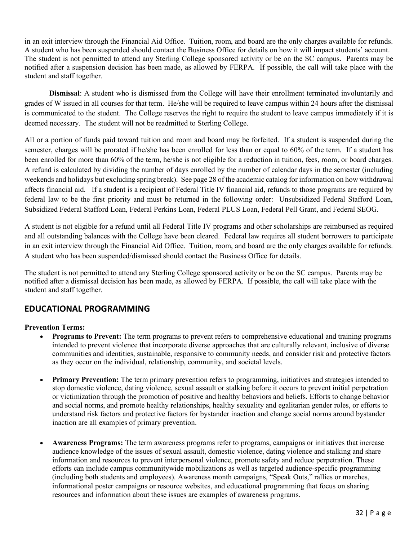in an exit interview through the Financial Aid Office. Tuition, room, and board are the only charges available for refunds. A student who has been suspended should contact the Business Office for details on how it will impact students' account. The student is not permitted to attend any Sterling College sponsored activity or be on the SC campus. Parents may be notified after a suspension decision has been made, as allowed by FERPA. If possible, the call will take place with the student and staff together.

**Dismissal**: A student who is dismissed from the College will have their enrollment terminated involuntarily and grades of W issued in all courses for that term. He/she will be required to leave campus within 24 hours after the dismissal is communicated to the student. The College reserves the right to require the student to leave campus immediately if it is deemed necessary. The student will not be readmitted to Sterling College.

All or a portion of funds paid toward tuition and room and board may be forfeited. If a student is suspended during the semester, charges will be prorated if he/she has been enrolled for less than or equal to 60% of the term. If a student has been enrolled for more than 60% of the term, he/she is not eligible for a reduction in tuition, fees, room, or board charges. A refund is calculated by dividing the number of days enrolled by the number of calendar days in the semester (including weekends and holidays but excluding spring break). See page 28 of the academic catalog for information on how withdrawal affects financial aid. If a student is a recipient of Federal Title IV financial aid, refunds to those programs are required by federal law to be the first priority and must be returned in the following order: Unsubsidized Federal Stafford Loan, Subsidized Federal Stafford Loan, Federal Perkins Loan, Federal PLUS Loan, Federal Pell Grant, and Federal SEOG.

A student is not eligible for a refund until all Federal Title IV programs and other scholarships are reimbursed as required and all outstanding balances with the College have been cleared. Federal law requires all student borrowers to participate in an exit interview through the Financial Aid Office. Tuition, room, and board are the only charges available for refunds. A student who has been suspended/dismissed should contact the Business Office for details.

The student is not permitted to attend any Sterling College sponsored activity or be on the SC campus. Parents may be notified after a dismissal decision has been made, as allowed by FERPA. If possible, the call will take place with the student and staff together.

### **EDUCATIONAL PROGRAMMING**

#### **Prevention Terms:**

- **Programs to Prevent:** The term programs to prevent refers to comprehensive educational and training programs intended to prevent violence that incorporate diverse approaches that are culturally relevant, inclusive of diverse communities and identities, sustainable, responsive to community needs, and consider risk and protective factors as they occur on the individual, relationship, community, and societal levels.
- **Primary Prevention:** The term primary prevention refers to programming, initiatives and strategies intended to stop domestic violence, dating violence, sexual assault or stalking before it occurs to prevent initial perpetration or victimization through the promotion of positive and healthy behaviors and beliefs. Efforts to change behavior and social norms, and promote healthy relationships, healthy sexuality and egalitarian gender roles, or efforts to understand risk factors and protective factors for bystander inaction and change social norms around bystander inaction are all examples of primary prevention.
- **Awareness Programs:** The term awareness programs refer to programs, campaigns or initiatives that increase audience knowledge of the issues of sexual assault, domestic violence, dating violence and stalking and share information and resources to prevent interpersonal violence, promote safety and reduce perpetration. These efforts can include campus communitywide mobilizations as well as targeted audience-specific programming (including both students and employees). Awareness month campaigns, "Speak Outs," rallies or marches, informational poster campaigns or resource websites, and educational programming that focus on sharing resources and information about these issues are examples of awareness programs.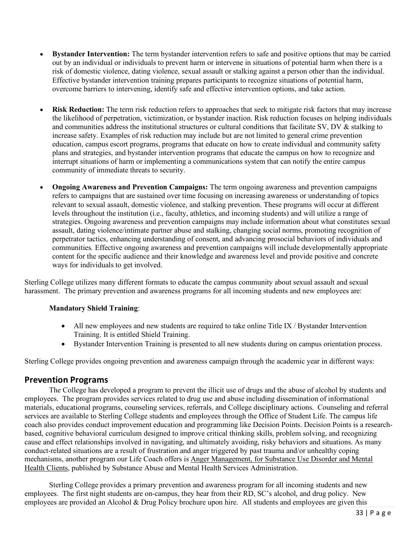- **Bystander Intervention:** The term bystander intervention refers to safe and positive options that may be carried out by an individual or individuals to prevent harm or intervene in situations of potential harm when there is a risk of domestic violence, dating violence, sexual assault or stalking against a person other than the individual. Effective bystander intervention training prepares participants to recognize situations of potential harm, overcome barriers to intervening, identify safe and effective intervention options, and take action.
- **Risk Reduction:** The term risk reduction refers to approaches that seek to mitigate risk factors that may increase the likelihood of perpetration, victimization, or bystander inaction. Risk reduction focuses on helping individuals and communities address the institutional structures or cultural conditions that facilitate SV, DV & stalking to increase safety. Examples of risk reduction may include but are not limited to general crime prevention education, campus escort programs, programs that educate on how to create individual and community safety plans and strategies, and bystander intervention programs that educate the campus on how to recognize and interrupt situations of harm or implementing a communications system that can notify the entire campus community of immediate threats to security.
- **Ongoing Awareness and Prevention Campaigns:** The term ongoing awareness and prevention campaigns refers to campaigns that are sustained over time focusing on increasing awareness or understanding of topics relevant to sexual assault, domestic violence, and stalking prevention. These programs will occur at different levels throughout the institution (i.e., faculty, athletics, and incoming students) and will utilize a range of strategies. Ongoing awareness and prevention campaigns may include information about what constitutes sexual assault, dating violence/intimate partner abuse and stalking, changing social norms, promoting recognition of perpetrator tactics, enhancing understanding of consent, and advancing prosocial behaviors of individuals and communities. Effective ongoing awareness and prevention campaigns will include developmentally appropriate content for the specific audience and their knowledge and awareness level and provide positive and concrete ways for individuals to get involved.

Sterling College utilizes many different formats to educate the campus community about sexual assault and sexual harassment. The primary prevention and awareness programs for all incoming students and new employees are:

#### **Mandatory Shield Training**:

- All new employees and new students are required to take online Title IX / Bystander Intervention Training. It is entitled Shield Training.
- Bystander Intervention Training is presented to all new students during on campus orientation process.

Sterling College provides ongoing prevention and awareness campaign through the academic year in different ways:

#### **Prevention Programs**

The College has developed a program to prevent the illicit use of drugs and the abuse of alcohol by students and employees. The program provides services related to drug use and abuse including dissemination of informational materials, educational programs, counseling services, referrals, and College disciplinary actions. Counseling and referral services are available to Sterling College students and employees through the Office of Student Life. The campus life coach also provides conduct improvement education and programming like Decision Points. Decision Points is a researchbased, cognitive behavioral curriculum designed to improve critical thinking skills, problem solving, and recognizing cause and effect relationships involved in navigating, and ultimately avoiding, risky behaviors and situations. As many conduct-related situations are a result of frustration and anger triggered by past trauma and/or unhealthy coping mechanisms, another program our Life Coach offers is Anger Management, for Substance Use Disorder and Mental Health Clients, published by Substance Abuse and Mental Health Services Administration.

Sterling College provides a primary prevention and awareness program for all incoming students and new employees. The first night students are on-campus, they hear from their RD, SC's alcohol, and drug policy. New employees are provided an Alcohol & Drug Policy brochure upon hire. All students and employees are given this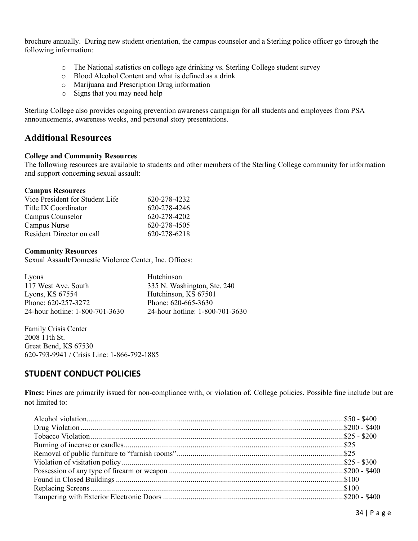brochure annually. During new student orientation, the campus counselor and a Sterling police officer go through the following information:

- o The National statistics on college age drinking vs. Sterling College student survey
- o Blood Alcohol Content and what is defined as a drink
- o Marijuana and Prescription Drug information
- o Signs that you may need help

Sterling College also provides ongoing prevention awareness campaign for all students and employees from PSA announcements, awareness weeks, and personal story presentations.

#### **Additional Resources**

#### **College and Community Resources**

The following resources are available to students and other members of the Sterling College community for information and support concerning sexual assault:

#### **Campus Resources**

| Vice President for Student Life | 620-278-4232 |
|---------------------------------|--------------|
| Title IX Coordinator            | 620-278-4246 |
| Campus Counselor                | 620-278-4202 |
| Campus Nurse                    | 620-278-4505 |
| Resident Director on call       | 620-278-6218 |

#### **Community Resources**

Sexual Assault/Domestic Violence Center, Inc. Offices:

| Lyons                           | Hutchinson                      |
|---------------------------------|---------------------------------|
| 117 West Ave. South             | 335 N. Washington, Ste. 240     |
| Lyons, $KS$ 67554               | Hutchinson, KS 67501            |
| Phone: 620-257-3272             | Phone: 620-665-3630             |
| 24-hour hotline: 1-800-701-3630 | 24-hour hotline: 1-800-701-3630 |

Family Crisis Center 2008 11th St. Great Bend, KS 67530 620-793-9941 / Crisis Line: 1-866-792-1885

#### **STUDENT CONDUCT POLICIES**

**Fines:** Fines are primarily issued for non-compliance with, or violation of, College policies. Possible fine include but are not limited to: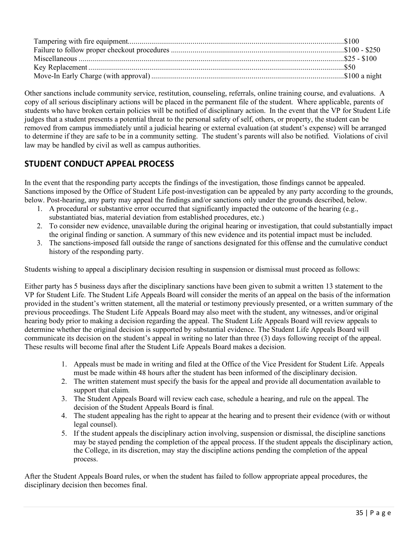Other sanctions include community service, restitution, counseling, referrals, online training course, and evaluations. A copy of all serious disciplinary actions will be placed in the permanent file of the student. Where applicable, parents of students who have broken certain policies will be notified of disciplinary action. In the event that the VP for Student Life judges that a student presents a potential threat to the personal safety of self, others, or property, the student can be removed from campus immediately until a judicial hearing or external evaluation (at student's expense) will be arranged to determine if they are safe to be in a community setting. The student's parents will also be notified. Violations of civil law may be handled by civil as well as campus authorities.

### **STUDENT CONDUCT APPEAL PROCESS**

In the event that the responding party accepts the findings of the investigation, those findings cannot be appealed. Sanctions imposed by the Office of Student Life post-investigation can be appealed by any party according to the grounds, below. Post-hearing, any party may appeal the findings and/or sanctions only under the grounds described, below.

- 1. A procedural or substantive error occurred that significantly impacted the outcome of the hearing (e.g., substantiated bias, material deviation from established procedures, etc.)
- 2. To consider new evidence, unavailable during the original hearing or investigation, that could substantially impact the original finding or sanction. A summary of this new evidence and its potential impact must be included.
- 3. The sanctions-imposed fall outside the range of sanctions designated for this offense and the cumulative conduct history of the responding party.

Students wishing to appeal a disciplinary decision resulting in suspension or dismissal must proceed as follows:

Either party has 5 business days after the disciplinary sanctions have been given to submit a written 13 statement to the VP for Student Life. The Student Life Appeals Board will consider the merits of an appeal on the basis of the information provided in the student's written statement, all the material or testimony previously presented, or a written summary of the previous proceedings. The Student Life Appeals Board may also meet with the student, any witnesses, and/or original hearing body prior to making a decision regarding the appeal. The Student Life Appeals Board will review appeals to determine whether the original decision is supported by substantial evidence. The Student Life Appeals Board will communicate its decision on the student's appeal in writing no later than three (3) days following receipt of the appeal. These results will become final after the Student Life Appeals Board makes a decision.

- 1. Appeals must be made in writing and filed at the Office of the Vice President for Student Life. Appeals must be made within 48 hours after the student has been informed of the disciplinary decision.
- 2. The written statement must specify the basis for the appeal and provide all documentation available to support that claim.
- 3. The Student Appeals Board will review each case, schedule a hearing, and rule on the appeal. The decision of the Student Appeals Board is final.
- 4. The student appealing has the right to appear at the hearing and to present their evidence (with or without legal counsel).
- 5. If the student appeals the disciplinary action involving, suspension or dismissal, the discipline sanctions may be stayed pending the completion of the appeal process. If the student appeals the disciplinary action, the College, in its discretion, may stay the discipline actions pending the completion of the appeal process.

After the Student Appeals Board rules, or when the student has failed to follow appropriate appeal procedures, the disciplinary decision then becomes final.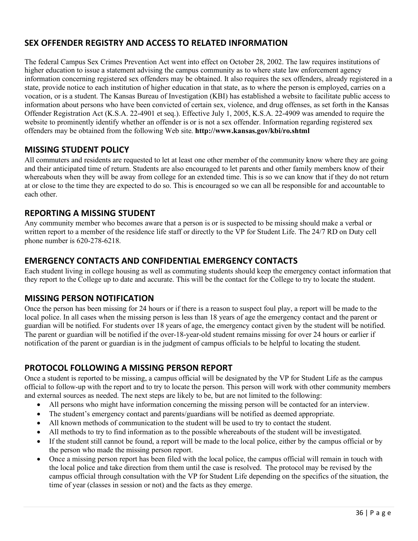## **SEX OFFENDER REGISTRY AND ACCESS TO RELATED INFORMATION**

The federal Campus Sex Crimes Prevention Act went into effect on October 28, 2002. The law requires institutions of higher education to issue a statement advising the campus community as to where state law enforcement agency information concerning registered sex offenders may be obtained. It also requires the sex offenders, already registered in a state, provide notice to each institution of higher education in that state, as to where the person is employed, carries on a vocation, or is a student. The Kansas Bureau of Investigation (KBI) has established a website to facilitate public access to information about persons who have been convicted of certain sex, violence, and drug offenses, as set forth in the Kansas Offender Registration Act (K.S.A. 22-4901 et seq.). Effective July 1, 2005, K.S.A. 22-4909 was amended to require the website to prominently identify whether an offender is or is not a sex offender. Information regarding registered sex offenders may be obtained from the following Web site. **<http://www.kansas.gov/kbi/ro.shtml>**

### **MISSING STUDENT POLICY**

All commuters and residents are requested to let at least one other member of the community know where they are going and their anticipated time of return. Students are also encouraged to let parents and other family members know of their whereabouts when they will be away from college for an extended time. This is so we can know that if they do not return at or close to the time they are expected to do so. This is encouraged so we can all be responsible for and accountable to each other.

### **REPORTING A MISSING STUDENT**

Any community member who becomes aware that a person is or is suspected to be missing should make a verbal or written report to a member of the residence life staff or directly to the VP for Student Life. The 24/7 RD on Duty cell phone number is 620-278-6218.

### **EMERGENCY CONTACTS AND CONFIDENTIAL EMERGENCY CONTACTS**

Each student living in college housing as well as commuting students should keep the emergency contact information that they report to the College up to date and accurate. This will be the contact for the College to try to locate the student.

### **MISSING PERSON NOTIFICATION**

Once the person has been missing for 24 hours or if there is a reason to suspect foul play, a report will be made to the local police. In all cases when the missing person is less than 18 years of age the emergency contact and the parent or guardian will be notified. For students over 18 years of age, the emergency contact given by the student will be notified. The parent or guardian will be notified if the over-18-year-old student remains missing for over 24 hours or earlier if notification of the parent or guardian is in the judgment of campus officials to be helpful to locating the student.

### **PROTOCOL FOLLOWING A MISSING PERSON REPORT**

Once a student is reported to be missing, a campus official will be designated by the VP for Student Life as the campus official to follow-up with the report and to try to locate the person. This person will work with other community members and external sources as needed. The next steps are likely to be, but are not limited to the following:

- All persons who might have information concerning the missing person will be contacted for an interview.
- The student's emergency contact and parents/guardians will be notified as deemed appropriate.
- All known methods of communication to the student will be used to try to contact the student.
- All methods to try to find information as to the possible whereabouts of the student will be investigated.
- If the student still cannot be found, a report will be made to the local police, either by the campus official or by the person who made the missing person report.
- Once a missing person report has been filed with the local police, the campus official will remain in touch with the local police and take direction from them until the case is resolved. The protocol may be revised by the campus official through consultation with the VP for Student Life depending on the specifics of the situation, the time of year (classes in session or not) and the facts as they emerge.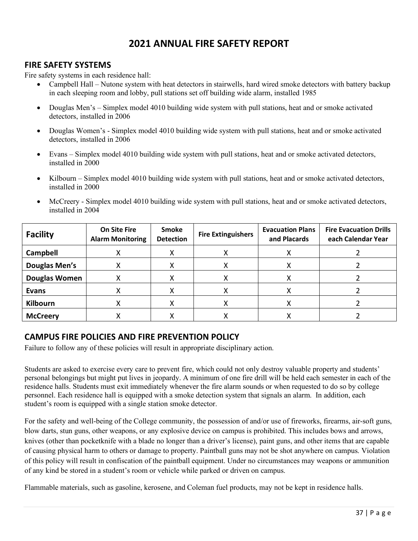# **2021 ANNUAL FIRE SAFETY REPORT**

### **FIRE SAFETY SYSTEMS**

Fire safety systems in each residence hall:

- Campbell Hall Nutone system with heat detectors in stairwells, hard wired smoke detectors with battery backup in each sleeping room and lobby, pull stations set off building wide alarm, installed 1985
- Douglas Men's Simplex model 4010 building wide system with pull stations, heat and or smoke activated detectors, installed in 2006
- Douglas Women's Simplex model 4010 building wide system with pull stations, heat and or smoke activated detectors, installed in 2006
- Evans Simplex model 4010 building wide system with pull stations, heat and or smoke activated detectors, installed in 2000
- Kilbourn Simplex model 4010 building wide system with pull stations, heat and or smoke activated detectors, installed in 2000
- McCreery Simplex model 4010 building wide system with pull stations, heat and or smoke activated detectors, installed in 2004

| <b>Facility</b>      | <b>On Site Fire</b><br><b>Alarm Monitoring</b> | Smoke<br><b>Detection</b> | <b>Fire Extinguishers</b> | <b>Evacuation Plans</b><br>and Placards | <b>Fire Evacuation Drills</b><br>each Calendar Year |
|----------------------|------------------------------------------------|---------------------------|---------------------------|-----------------------------------------|-----------------------------------------------------|
| Campbell             |                                                |                           |                           |                                         |                                                     |
| <b>Douglas Men's</b> |                                                |                           |                           |                                         |                                                     |
| <b>Douglas Women</b> |                                                |                           |                           |                                         |                                                     |
| <b>Evans</b>         |                                                |                           |                           |                                         |                                                     |
| <b>Kilbourn</b>      |                                                |                           | х                         |                                         |                                                     |
| <b>McCreery</b>      |                                                |                           |                           |                                         |                                                     |

### **CAMPUS FIRE POLICIES AND FIRE PREVENTION POLICY**

Failure to follow any of these policies will result in appropriate disciplinary action.

Students are asked to exercise every care to prevent fire, which could not only destroy valuable property and students' personal belongings but might put lives in jeopardy. A minimum of one fire drill will be held each semester in each of the residence halls. Students must exit immediately whenever the fire alarm sounds or when requested to do so by college personnel. Each residence hall is equipped with a smoke detection system that signals an alarm. In addition, each student's room is equipped with a single station smoke detector.

For the safety and well-being of the College community, the possession of and/or use of fireworks, firearms, air-soft guns, blow darts, stun guns, other weapons, or any explosive device on campus is prohibited. This includes bows and arrows, knives (other than pocketknife with a blade no longer than a driver's license), paint guns, and other items that are capable of causing physical harm to others or damage to property. Paintball guns may not be shot anywhere on campus. Violation of this policy will result in confiscation of the paintball equipment. Under no circumstances may weapons or ammunition of any kind be stored in a student's room or vehicle while parked or driven on campus.

Flammable materials, such as gasoline, kerosene, and Coleman fuel products, may not be kept in residence halls.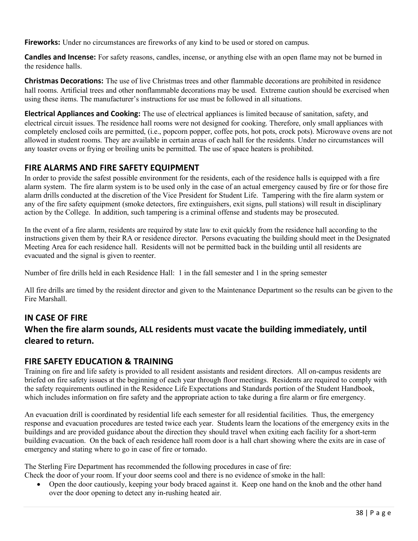**Fireworks:** Under no circumstances are fireworks of any kind to be used or stored on campus.

**Candles and Incense:** For safety reasons, candles, incense, or anything else with an open flame may not be burned in the residence halls.

**Christmas Decorations:** The use of live Christmas trees and other flammable decorations are prohibited in residence hall rooms. Artificial trees and other nonflammable decorations may be used. Extreme caution should be exercised when using these items. The manufacturer's instructions for use must be followed in all situations.

**Electrical Appliances and Cooking:** The use of electrical appliances is limited because of sanitation, safety, and electrical circuit issues. The residence hall rooms were not designed for cooking. Therefore, only small appliances with completely enclosed coils are permitted, (i.e., popcorn popper, coffee pots, hot pots, crock pots). Microwave ovens are not allowed in student rooms. They are available in certain areas of each hall for the residents. Under no circumstances will any toaster ovens or frying or broiling units be permitted. The use of space heaters is prohibited.

# **FIRE ALARMS AND FIRE SAFETY EQUIPMENT**

In order to provide the safest possible environment for the residents, each of the residence halls is equipped with a fire alarm system. The fire alarm system is to be used only in the case of an actual emergency caused by fire or for those fire alarm drills conducted at the discretion of the Vice President for Student Life. Tampering with the fire alarm system or any of the fire safety equipment (smoke detectors, fire extinguishers, exit signs, pull stations) will result in disciplinary action by the College. In addition, such tampering is a criminal offense and students may be prosecuted.

In the event of a fire alarm, residents are required by state law to exit quickly from the residence hall according to the instructions given them by their RA or residence director. Persons evacuating the building should meet in the Designated Meeting Area for each residence hall. Residents will not be permitted back in the building until all residents are evacuated and the signal is given to reenter.

Number of fire drills held in each Residence Hall: 1 in the fall semester and 1 in the spring semester

All fire drills are timed by the resident director and given to the Maintenance Department so the results can be given to the Fire Marshall.

# **IN CASE OF FIRE When the fire alarm sounds, ALL residents must vacate the building immediately, until cleared to return.**

## **FIRE SAFETY EDUCATION & TRAINING**

Training on fire and life safety is provided to all resident assistants and resident directors. All on-campus residents are briefed on fire safety issues at the beginning of each year through floor meetings. Residents are required to comply with the safety requirements outlined in the Residence Life Expectations and Standards portion of the Student Handbook, which includes information on fire safety and the appropriate action to take during a fire alarm or fire emergency.

An evacuation drill is coordinated by residential life each semester for all residential facilities. Thus, the emergency response and evacuation procedures are tested twice each year. Students learn the locations of the emergency exits in the buildings and are provided guidance about the direction they should travel when exiting each facility for a short-term building evacuation. On the back of each residence hall room door is a hall chart showing where the exits are in case of emergency and stating where to go in case of fire or tornado.

The Sterling Fire Department has recommended the following procedures in case of fire: Check the door of your room. If your door seems cool and there is no evidence of smoke in the hall:

• Open the door cautiously, keeping your body braced against it. Keep one hand on the knob and the other hand over the door opening to detect any in-rushing heated air.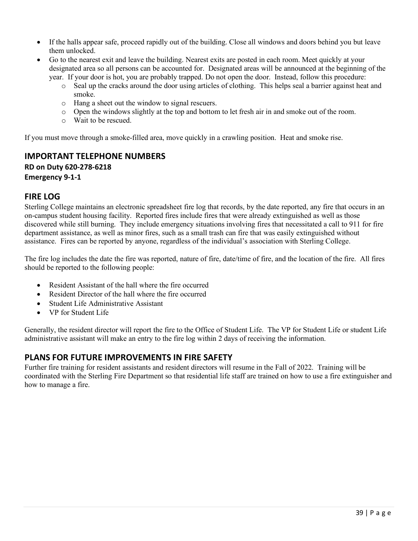- If the halls appear safe, proceed rapidly out of the building. Close all windows and doors behind you but leave them unlocked.
- Go to the nearest exit and leave the building. Nearest exits are posted in each room. Meet quickly at your designated area so all persons can be accounted for. Designated areas will be announced at the beginning of the year. If your door is hot, you are probably trapped. Do not open the door. Instead, follow this procedure:
	- o Seal up the cracks around the door using articles of clothing. This helps seal a barrier against heat and smoke.
	- o Hang a sheet out the window to signal rescuers.
	- o Open the windows slightly at the top and bottom to let fresh air in and smoke out of the room.
	- o Wait to be rescued.

If you must move through a smoke-filled area, move quickly in a crawling position. Heat and smoke rise.

### **IMPORTANT TELEPHONE NUMBERS RD on Duty 620-278-6218 Emergency 9-1-1**

#### **FIRE LOG**

Sterling College maintains an electronic spreadsheet fire log that records, by the date reported, any fire that occurs in an on-campus student housing facility. Reported fires include fires that were already extinguished as well as those discovered while still burning. They include emergency situations involving fires that necessitated a call to 911 for fire department assistance, as well as minor fires, such as a small trash can fire that was easily extinguished without assistance. Fires can be reported by anyone, regardless of the individual's association with Sterling College.

The fire log includes the date the fire was reported, nature of fire, date/time of fire, and the location of the fire. All fires should be reported to the following people:

- Resident Assistant of the hall where the fire occurred
- Resident Director of the hall where the fire occurred
- Student Life Administrative Assistant
- VP for Student Life

Generally, the resident director will report the fire to the Office of Student Life. The VP for Student Life or student Life administrative assistant will make an entry to the fire log within 2 days of receiving the information.

### **PLANS FOR FUTURE IMPROVEMENTS IN FIRE SAFETY**

Further fire training for resident assistants and resident directors will resume in the Fall of 2022. Training will be coordinated with the Sterling Fire Department so that residential life staff are trained on how to use a fire extinguisher and how to manage a fire.